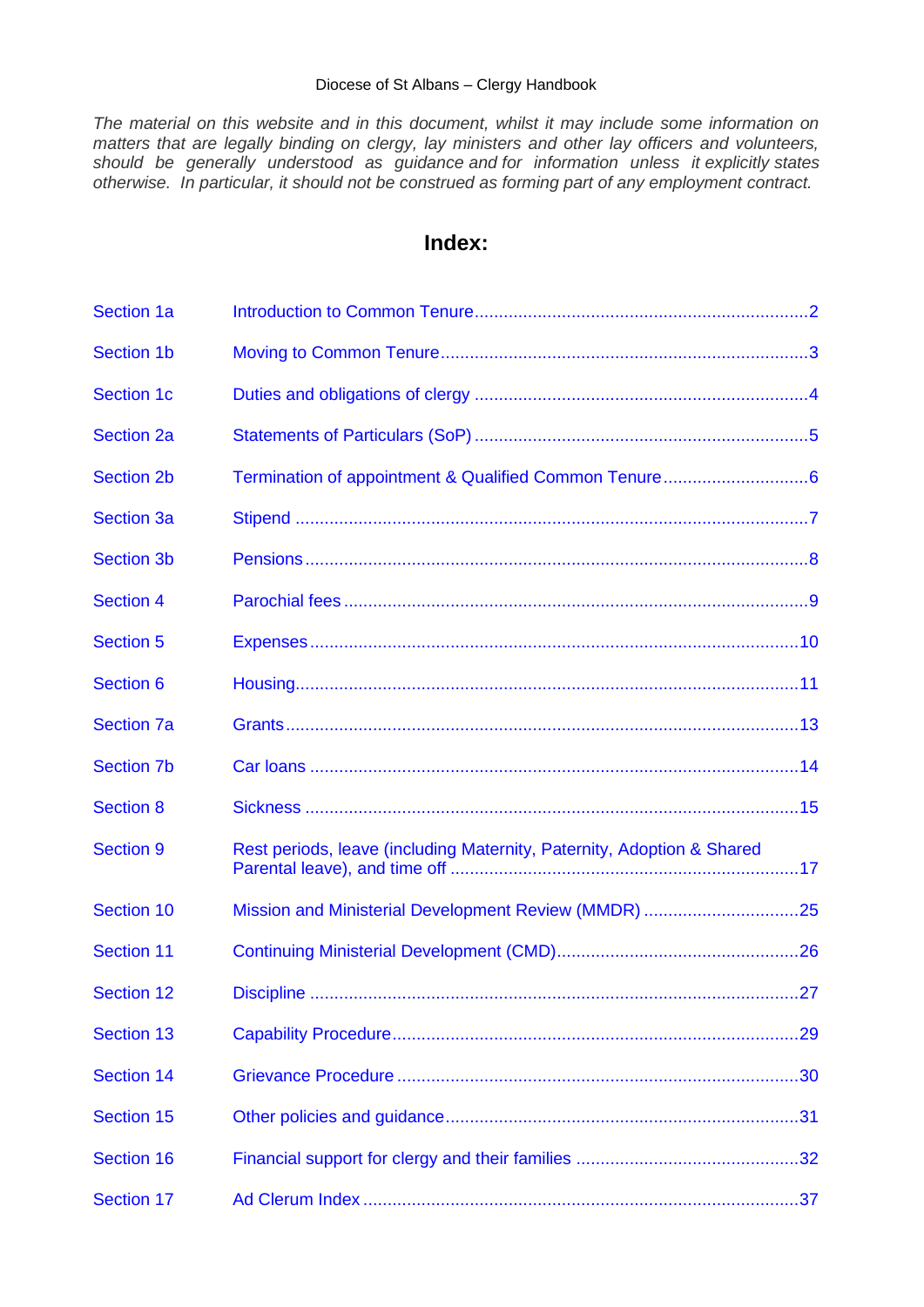#### Diocese of St Albans – Clergy Handbook

*The material on this website and in this document, whilst it may include some information on matters that are legally binding on clergy, lay ministers and other lay officers and volunteers, should be generally understood as guidance and for information unless it explicitly states otherwise. In particular, it should not be construed as forming part of any employment contract.*

# **Index:**

<span id="page-0-0"></span>

| <b>Section 1a</b> |                                                                        |     |
|-------------------|------------------------------------------------------------------------|-----|
| <b>Section 1b</b> |                                                                        |     |
| <b>Section 1c</b> |                                                                        |     |
| <b>Section 2a</b> |                                                                        |     |
| <b>Section 2b</b> |                                                                        |     |
| <b>Section 3a</b> |                                                                        |     |
| <b>Section 3b</b> |                                                                        |     |
| <b>Section 4</b>  |                                                                        |     |
| <b>Section 5</b>  |                                                                        |     |
| <b>Section 6</b>  |                                                                        |     |
| <b>Section 7a</b> |                                                                        |     |
| <b>Section 7b</b> |                                                                        |     |
| <b>Section 8</b>  |                                                                        |     |
| <b>Section 9</b>  | Rest periods, leave (including Maternity, Paternity, Adoption & Shared |     |
| <b>Section 10</b> |                                                                        |     |
| <b>Section 11</b> |                                                                        |     |
| Section 12        | Discipline                                                             | .27 |
| <b>Section 13</b> |                                                                        | .29 |
| <b>Section 14</b> |                                                                        |     |
| <b>Section 15</b> |                                                                        |     |
| <b>Section 16</b> |                                                                        |     |
| <b>Section 17</b> |                                                                        |     |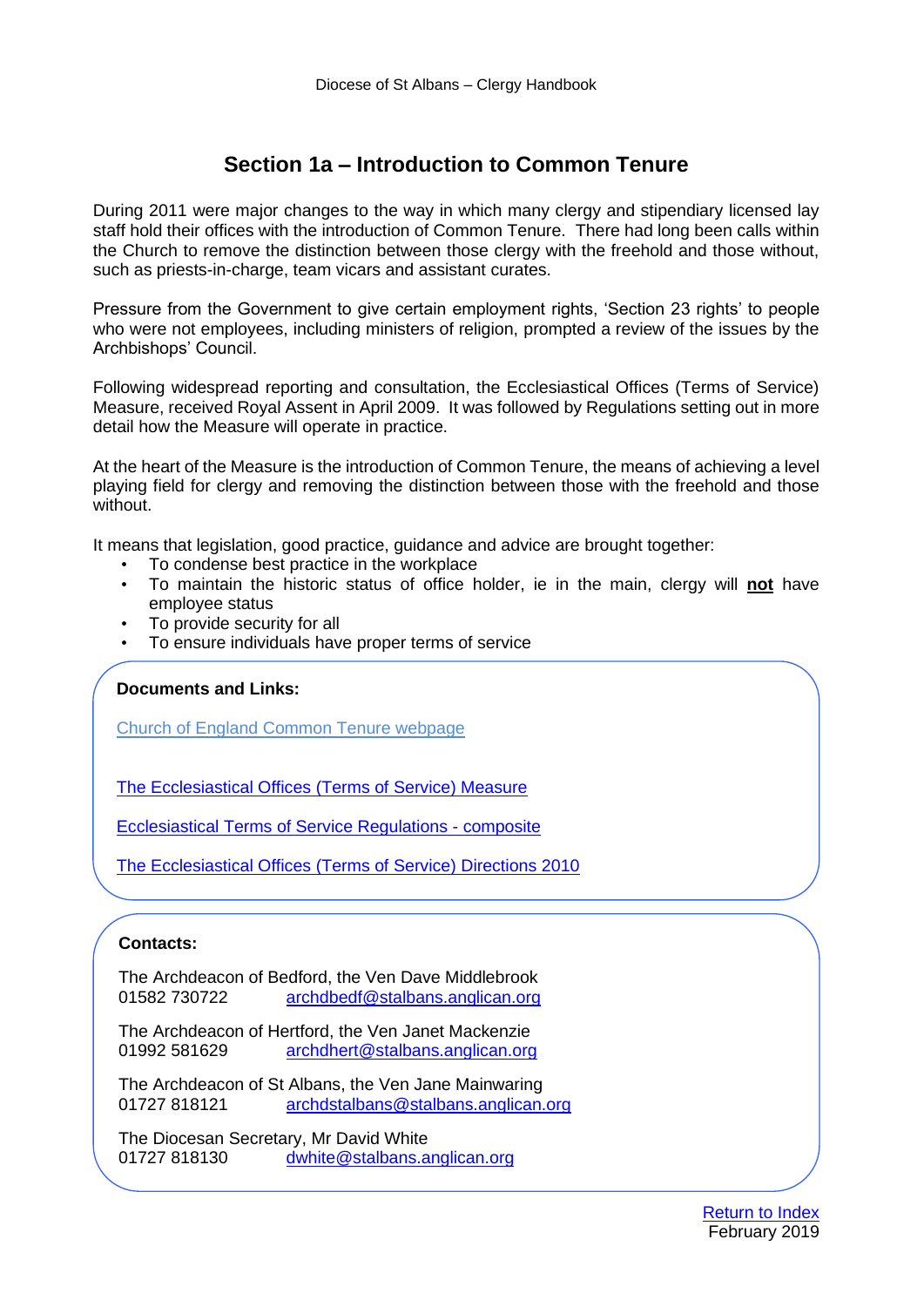# **Section 1a – Introduction to Common Tenure**

<span id="page-1-0"></span>During 2011 were major changes to the way in which many clergy and stipendiary licensed lay staff hold their offices with the introduction of Common Tenure. There had long been calls within the Church to remove the distinction between those clergy with the freehold and those without, such as priests-in-charge, team vicars and assistant curates.

Pressure from the Government to give certain employment rights, 'Section 23 rights' to people who were not employees, including ministers of religion, prompted a review of the issues by the Archbishops' Council.

Following widespread reporting and consultation, the Ecclesiastical Offices (Terms of Service) Measure, received Royal Assent in April 2009. It was followed by Regulations setting out in more detail how the Measure will operate in practice.

At the heart of the Measure is the introduction of Common Tenure, the means of achieving a level playing field for clergy and removing the distinction between those with the freehold and those without.

It means that legislation, good practice, guidance and advice are brought together:

- To condense best practice in the workplace
- To maintain the historic status of office holder, ie in the main, clergy will **not** have employee status
- To provide security for all
- To ensure individuals have proper terms of service

# **Documents and Links:**

[Church of England Common Tenure webpage](https://www.churchofengland.org/more/clergy-resources/national-clergy-hr/common-tenure-faqs)

[The Ecclesiastical Offices \(Terms of Service\) Measure](https://www.churchofengland.org/sites/default/files/2017-10/eotos%20measure2009_0.pdf)

[Ecclesiastical Terms of Service Regulations -](https://www.churchofengland.org/sites/default/files/2017-10/terms-of-service-regulations-updated-to-july-2017.pdf) composite

[The Ecclesiastical Offices \(Terms of Service\) Directions 2010](http://www.legislation.gov.uk/uksi/2010/1923/contents/made)

# **Contacts:**

The Archdeacon of Bedford, the Ven Dave Middlebrook 01582 730722 [archdbedf@stalbans.anglican.org](mailto:archdbedf@stalbans.anglican.org)

The Archdeacon of Hertford, the Ven Janet Mackenzie 01992 581629 [archdhert@stalbans.anglican.org](mailto:archdhert@stalbans.anglican.org)

The Archdeacon of St Albans, the Ven Jane Mainwaring 01727 818121 [archdstalbans@stalbans.anglican.org](mailto:archdstalbans@stalbans.anglican.org)

The Diocesan Secretary, Mr David White 01727 818130 [dwhite@stalbans.anglican.org](mailto:dwhite@stalbans.anglican.org)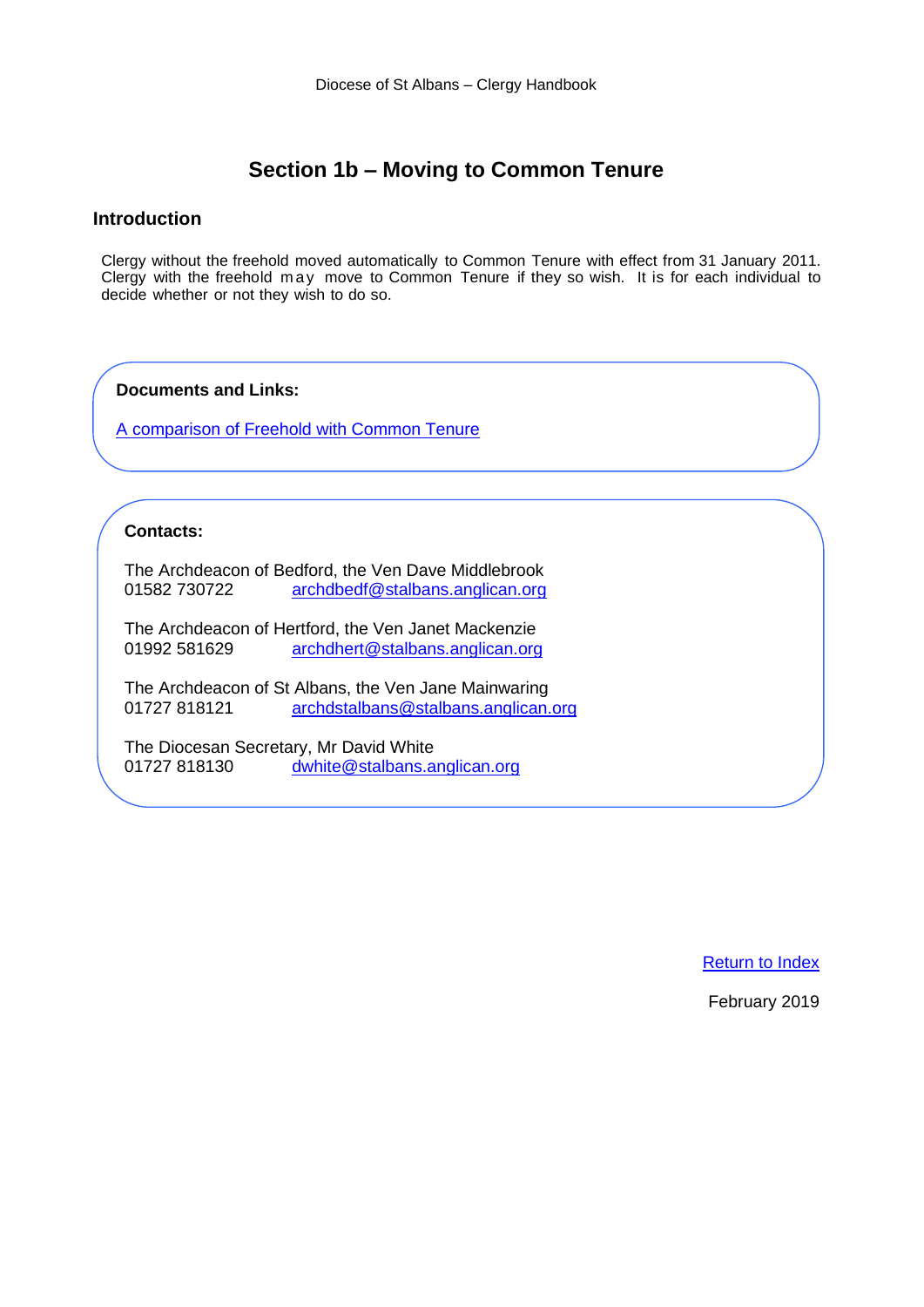# **Section 1b – Moving to Common Tenure**

#### <span id="page-2-0"></span>**Introduction**

Clergy without the freehold moved automatically to Common Tenure with effect from 31 January 2011. Clergy with the freehold may move to Common Tenure if they so wish. It is for each individual to decide whether or not they wish to do so.

**Documents and Links:**

[A comparison of Freehold with Common Tenure](https://stalbansdiocese.sharepoint.com/Diosec/Public/Clergy%20Handbook/2019%20Revision/A%20Comparison%20Between%20Freehold%20and%20Common%20Tenure.docx)

#### **Contacts:**

The Archdeacon of Bedford, the Ven Dave Middlebrook 01582 730722 [archdbedf@stalbans.anglican.org](mailto:archdbedf@stalbans.anglican.org)

The Archdeacon of Hertford, the Ven Janet Mackenzie 01992 581629 [archdhert@stalbans.anglican.org](mailto:archdhert@stalbans.anglican.org)

The Archdeacon of St Albans, the Ven Jane Mainwaring<br>01727 818121 archdstalbans@stalbans.anglican. [archdstalbans@stalbans.anglican.org](mailto:archdstalbans@stalbans.anglican.org)

The Diocesan Secretary, Mr David White 01727 818130 [dwhite@stalbans.anglican.org](mailto:dwhite@stalbans.anglican.org)

[Return to Index](#page-0-0)

February 2019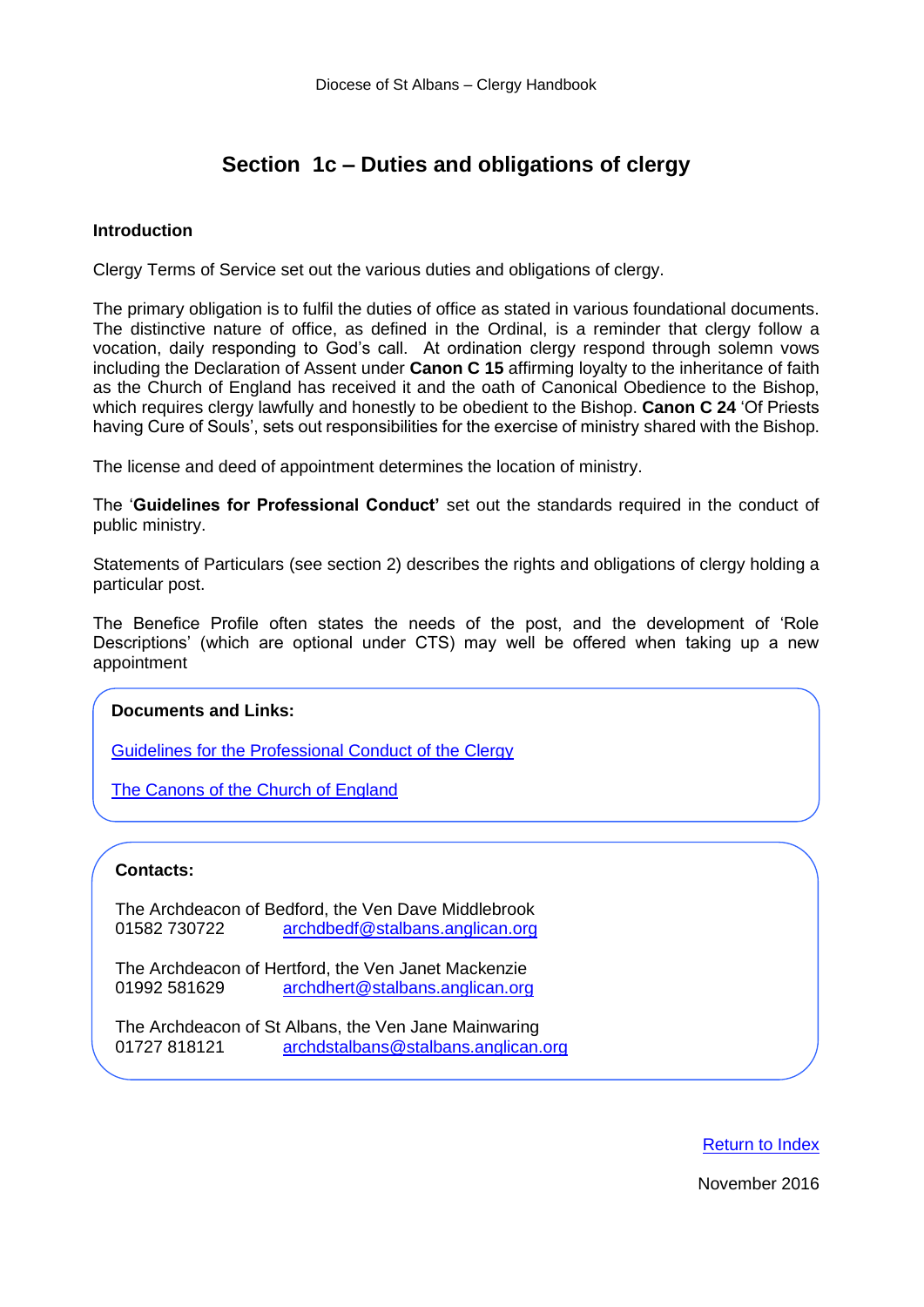# **Section 1c – Duties and obligations of clergy**

#### <span id="page-3-0"></span>**Introduction**

Clergy Terms of Service set out the various duties and obligations of clergy.

The primary obligation is to fulfil the duties of office as stated in various foundational documents. The distinctive nature of office, as defined in the Ordinal, is a reminder that clergy follow a vocation, daily responding to God's call. At ordination clergy respond through solemn vows including the Declaration of Assent under **Canon C 15** affirming loyalty to the inheritance of faith as the Church of England has received it and the oath of Canonical Obedience to the Bishop, which requires clergy lawfully and honestly to be obedient to the Bishop. **Canon C 24** 'Of Priests having Cure of Souls', sets out responsibilities for the exercise of ministry shared with the Bishop.

The license and deed of appointment determines the location of ministry.

The '**Guidelines for Professional Conduct'** set out the standards required in the conduct of public ministry.

Statements of Particulars (see section 2) describes the rights and obligations of clergy holding a particular post.

The Benefice Profile often states the needs of the post, and the development of 'Role Descriptions' (which are optional under CTS) may well be offered when taking up a new appointment

# **Documents and Links:**

[Guidelines for the Professional Conduct of the Clergy](https://www.churchofengland.org/more/media-centre/news/guidelines-professional-conduct-clergy) 

[The Canons of the Church of England](https://www.churchofengland.org/more/policy-and-thinking/canons-church-england)

#### **Contacts:**

The Archdeacon of Bedford, the Ven Dave Middlebrook 01582 730722 [archdbedf@stalbans.anglican.org](mailto:archdbedf@stalbans.anglican.org)

The Archdeacon of Hertford, the Ven Janet Mackenzie 01992 581629 [archdhert@stalbans.anglican.org](mailto:archdhert@stalbans.anglican.org)

The Archdeacon of St Albans, the Ven Jane Mainwaring 01727 818121 [archdstalbans@stalbans.anglican.org](mailto:archdstalbans@stalbans.anglican.org)

[Return to Index](#page-0-0)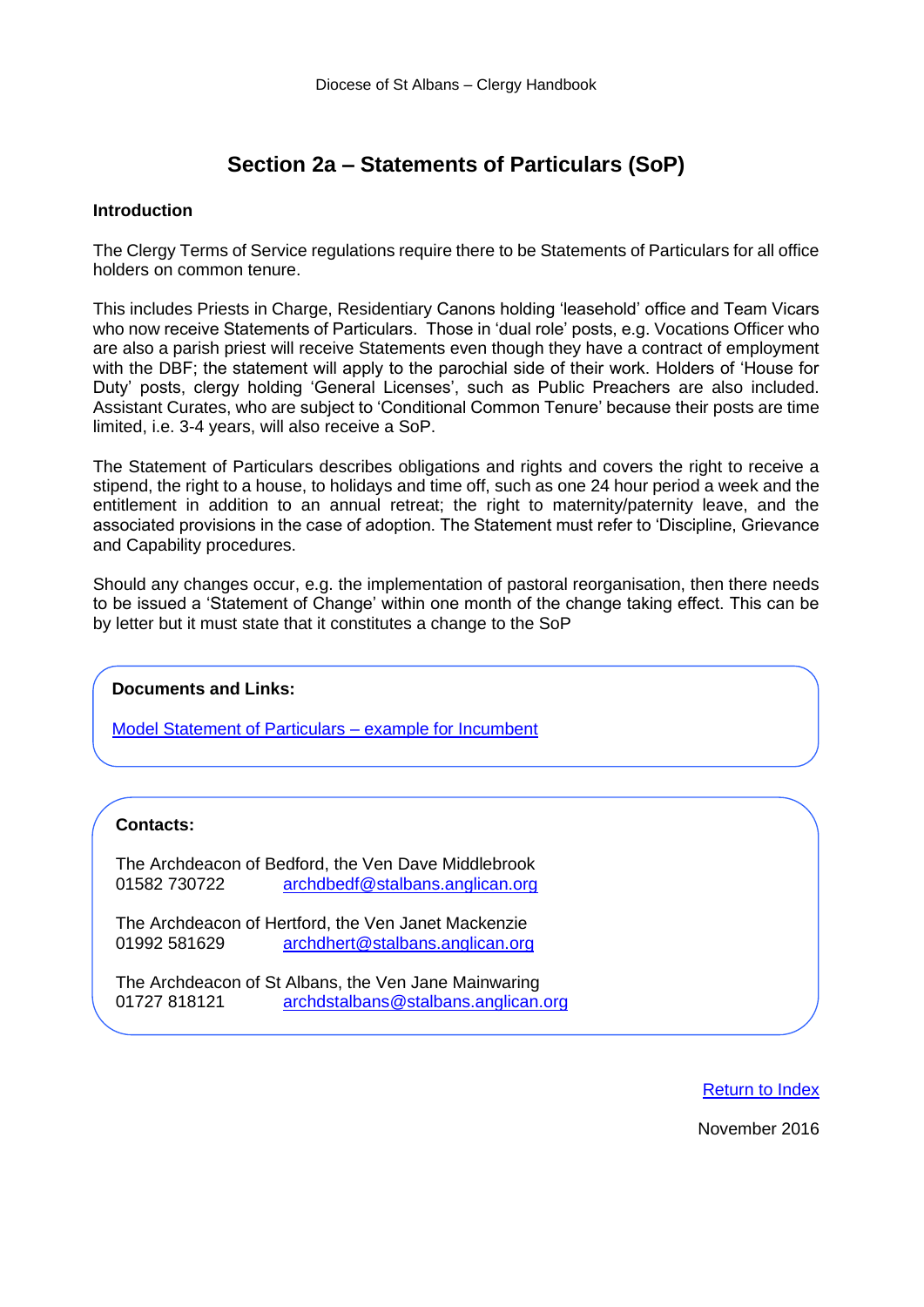# **Section 2a – Statements of Particulars (SoP)**

#### <span id="page-4-0"></span>**Introduction**

The Clergy Terms of Service regulations require there to be Statements of Particulars for all office holders on common tenure.

This includes Priests in Charge, Residentiary Canons holding 'leasehold' office and Team Vicars who now receive Statements of Particulars. Those in 'dual role' posts, e.g. Vocations Officer who are also a parish priest will receive Statements even though they have a contract of employment with the DBF; the statement will apply to the parochial side of their work. Holders of 'House for Duty' posts, clergy holding 'General Licenses', such as Public Preachers are also included. Assistant Curates, who are subject to 'Conditional Common Tenure' because their posts are time limited, i.e. 3-4 years, will also receive a SoP.

The Statement of Particulars describes obligations and rights and covers the right to receive a stipend, the right to a house, to holidays and time off, such as one 24 hour period a week and the entitlement in addition to an annual retreat; the right to maternity/paternity leave, and the associated provisions in the case of adoption. The Statement must refer to 'Discipline, Grievance and Capability procedures.

Should any changes occur, e.g. the implementation of pastoral reorganisation, then there needs to be issued a 'Statement of Change' within one month of the change taking effect. This can be by letter but it must state that it constitutes a change to the SoP

# **Documents and Links:**

[Model Statement of Particulars –](https://stalbansdiocese.sharepoint.com/Diosec/Public/Clergy%20Handbook/2019%20Revision/Model%20SOP%20Incumbent.docx) example for Incumbent

#### **Contacts:**

The Archdeacon of Bedford, the Ven Dave Middlebrook 01582 730722 [archdbedf@stalbans.anglican.org](mailto:archdbedf@stalbans.anglican.org)

The Archdeacon of Hertford, the Ven Janet Mackenzie 01992 581629 [archdhert@stalbans.anglican.org](mailto:archdhert@stalbans.anglican.org)

The Archdeacon of St Albans, the Ven Jane Mainwaring 01727 818121 [archdstalbans@stalbans.anglican.org](mailto:archdstalbans@stalbans.anglican.org)

[Return to Index](#page-0-0)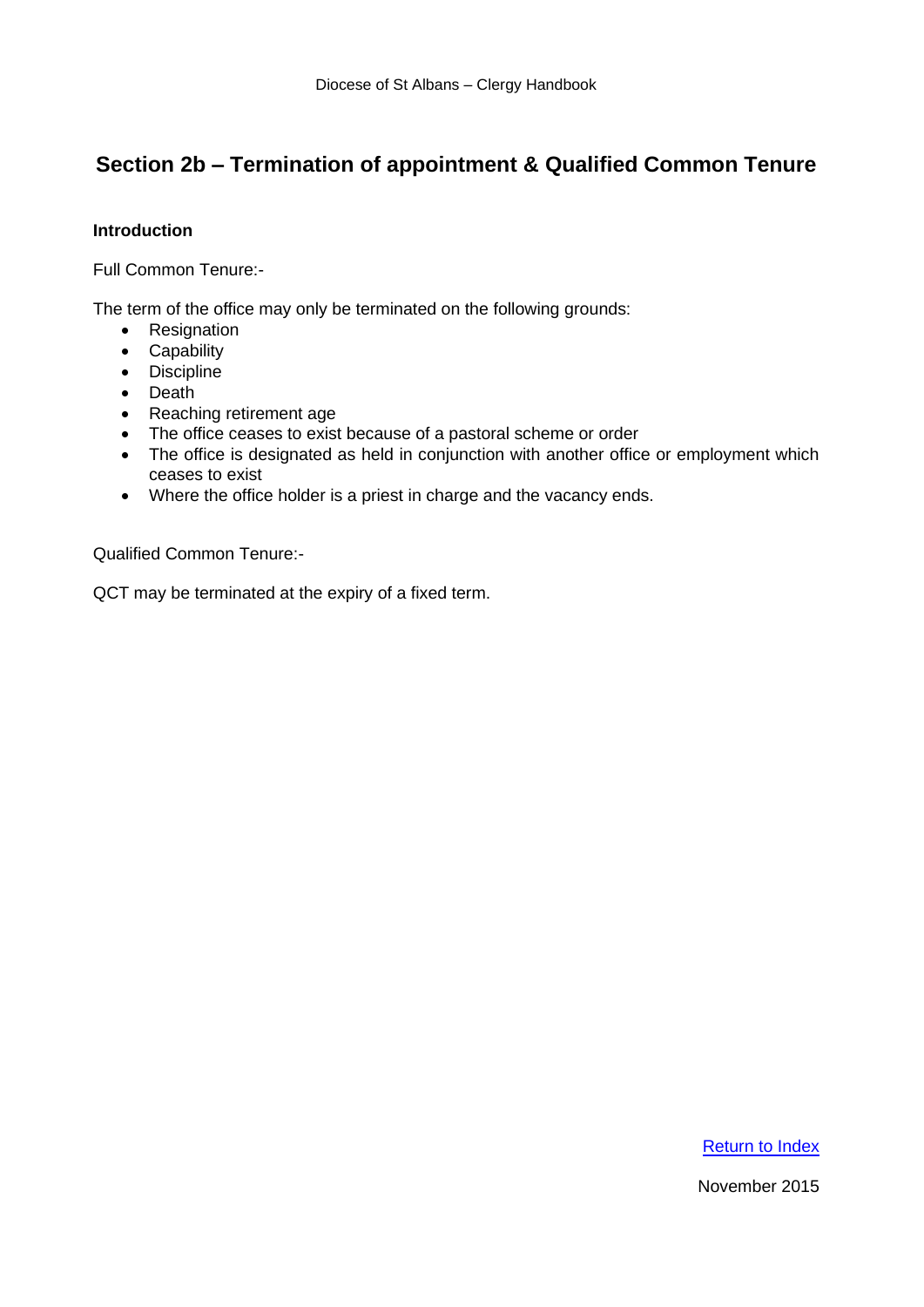# <span id="page-5-0"></span>**Section 2b – Termination of appointment & Qualified Common Tenure**

# **Introduction**

Full Common Tenure:-

The term of the office may only be terminated on the following grounds:

- Resignation
- Capability
- Discipline
- Death
- Reaching retirement age
- The office ceases to exist because of a pastoral scheme or order
- The office is designated as held in conjunction with another office or employment which ceases to exist
- Where the office holder is a priest in charge and the vacancy ends.

Qualified Common Tenure:-

QCT may be terminated at the expiry of a fixed term.

[Return to Index](#page-0-0)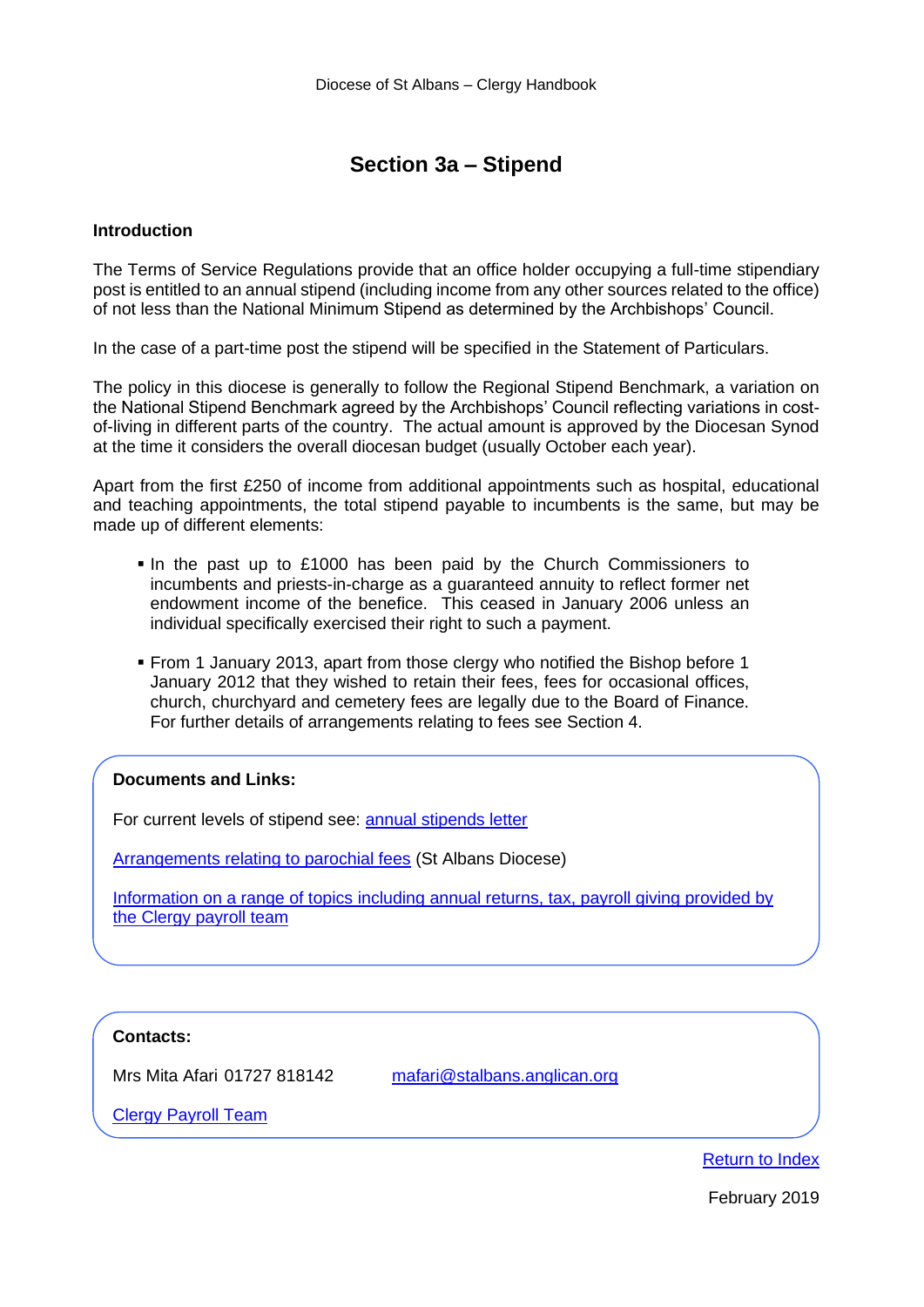# **Section 3a – Stipend**

#### <span id="page-6-0"></span>**Introduction**

The Terms of Service Regulations provide that an office holder occupying a full-time stipendiary post is entitled to an annual stipend (including income from any other sources related to the office) of not less than the National Minimum Stipend as determined by the Archbishops' Council.

In the case of a part-time post the stipend will be specified in the Statement of Particulars.

The policy in this diocese is generally to follow the Regional Stipend Benchmark, a variation on the National Stipend Benchmark agreed by the Archbishops' Council reflecting variations in costof-living in different parts of the country. The actual amount is approved by the Diocesan Synod at the time it considers the overall diocesan budget (usually October each year).

Apart from the first £250 of income from additional appointments such as hospital, educational and teaching appointments, the total stipend payable to incumbents is the same, but may be made up of different elements:

- In the past up to £1000 has been paid by the Church Commissioners to incumbents and priests-in-charge as a guaranteed annuity to reflect former net endowment income of the benefice. This ceased in January 2006 unless an individual specifically exercised their right to such a payment.
- From 1 January 2013, apart from those clergy who notified the Bishop before 1 January 2012 that they wished to retain their fees, fees for occasional offices, church, churchyard and cemetery fees are legally due to the Board of Finance. For further details of arrangements relating to fees see Section 4.

#### **Documents and Links:**

For current levels of stipend see: [annual stipends letter](https://www.stalbans.anglican.org/finance/parochial-fees/stipends-letter/)

[Arrangements relating to parochial fees](https://www.stalbans.anglican.org/wp-content/uploads/Parochial-Fees-and-Expenses-for-Ministers-March-20.pdf) (St Albans Diocese)

[Information on a range of topics including annual returns, tax, payroll giving provided by](https://www.churchofengland.org/more/clergy-resources/clergy-payroll)  the Clergy payroll team

#### **Contacts:**

Mrs Mita Afari 01727 818142 [mafari@stalbans.anglican.org](mailto:mafari@stalbans.anglican.org)

[Clergy Payroll Team](https://www.churchofengland.org/more/clergy-resources/clergy-payroll/contact-payroll)

[Return to Index](#page-0-0)

February 2019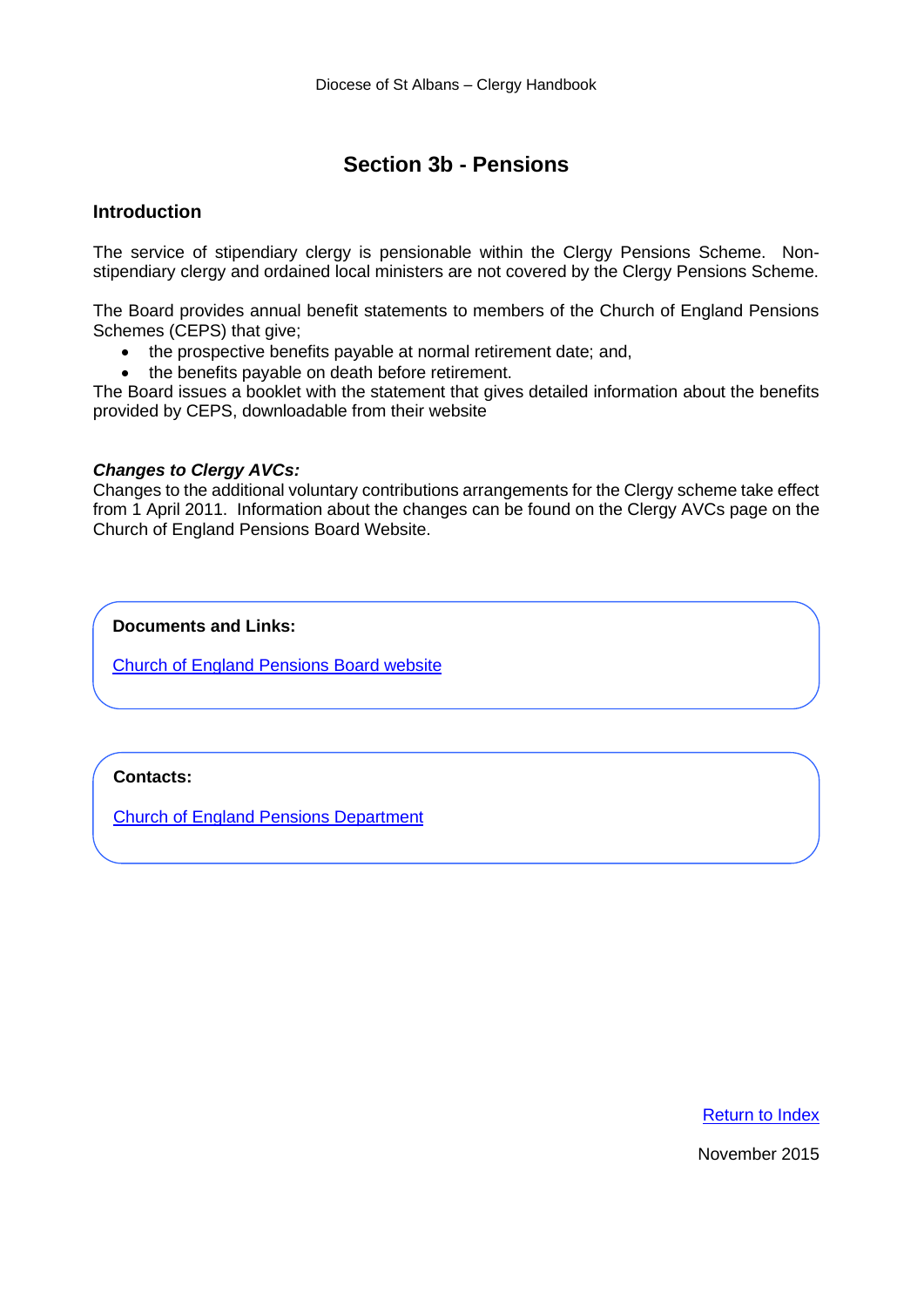# **Section 3b - Pensions**

# <span id="page-7-0"></span>**Introduction**

The service of stipendiary clergy is pensionable within the Clergy Pensions Scheme. Nonstipendiary clergy and ordained local ministers are not covered by the Clergy Pensions Scheme.

The Board provides annual benefit statements to members of the Church of England Pensions Schemes (CEPS) that give;

- the prospective benefits payable at normal retirement date; and,
- the benefits payable on death before retirement.

The Board issues a booklet with the statement that gives detailed information about the benefits provided by CEPS, downloadable from their website

#### *Changes to Clergy AVCs:*

Changes to the additional voluntary contributions arrangements for the Clergy scheme take effect from 1 April 2011. Information about the changes can be found on the Clergy AVCs page on the Church of England Pensions Board Website.

**Documents and Links:**

[Church of England Pensions Board website](https://www.churchofengland.org/more/pensions/clergy-pensions)

# **Contacts:**

[Church of England Pensions Department](mailto:pensions@churchofengland.org)

[Return to Index](#page-0-0)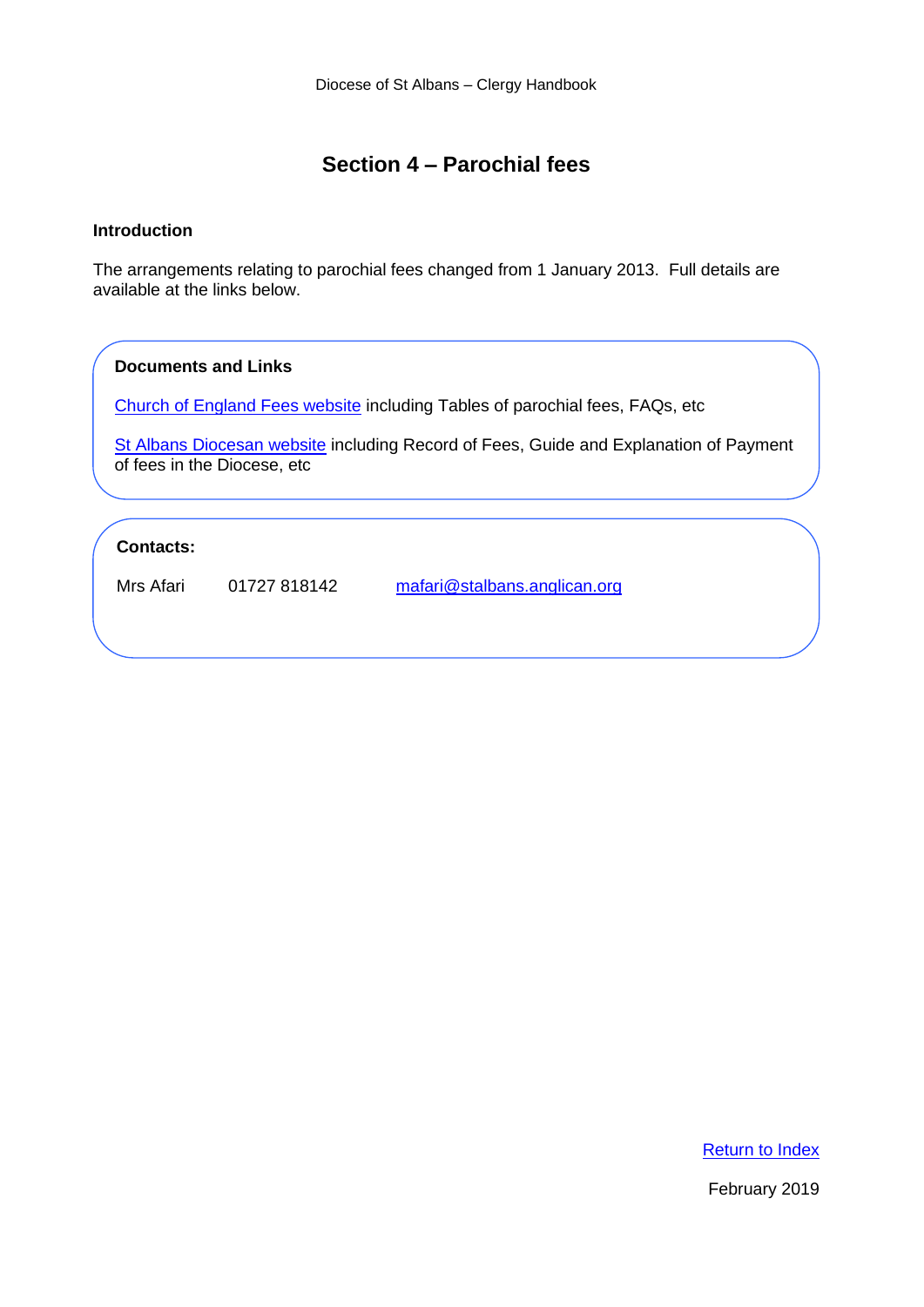# **Section 4 – Parochial fees**

# <span id="page-8-0"></span>**Introduction**

The arrangements relating to parochial fees changed from 1 January 2013. Full details are available at the links below.

#### **Documents and Links**

[Church of England Fees website](https://www.churchofengland.org/more/clergy-resources/national-clergy-hr/life-events-parochial-fees-and-guidance/life-events) including Tables of parochial fees, FAQs, etc

[St Albans Diocesan website](https://www.stalbans.anglican.org/finance/parochial-fees/) including Record of Fees, Guide and Explanation of Payment of fees in the Diocese, etc

# **Contacts:**

Mrs Afari 01727 818142 [mafari@stalbans.anglican.org](mailto:mafari@stalbans.anglican.org)

[Return to Index](#page-0-0)

February 2019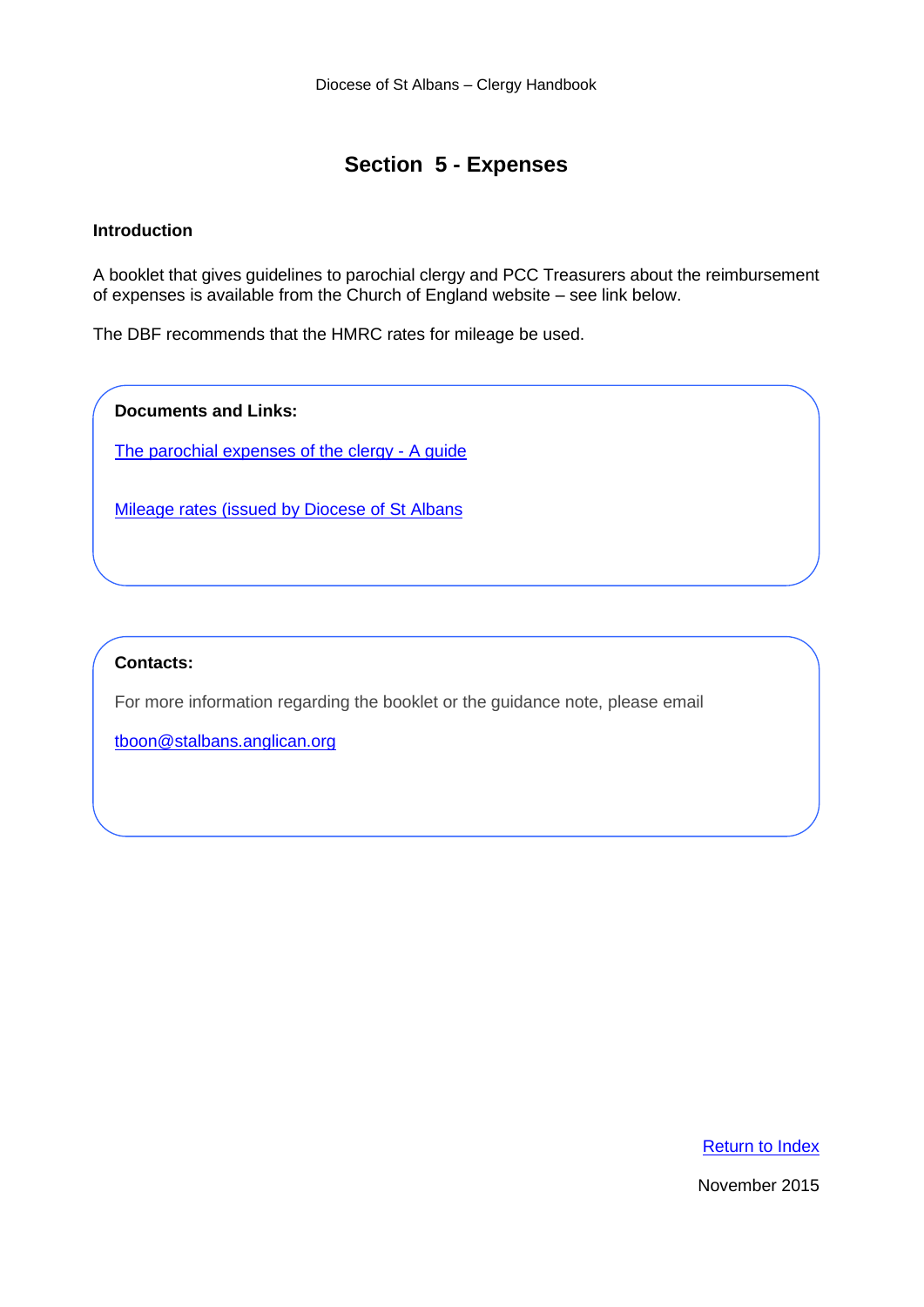# **Section 5 - Expenses**

# <span id="page-9-0"></span>**Introduction**

A booklet that gives guidelines to parochial clergy and PCC Treasurers about the reimbursement of expenses is available from the Church of England website – see link below.

The DBF recommends that the HMRC rates for mileage be used.

**Documents and Links:**

[The parochial expenses of the clergy -](https://www.churchofengland.org/sites/default/files/2017-10/Parochial%20Expenses%20Guide%20-%202017.pdf) A guide

[Mileage rates \(issued by Diocese of St Albans](https://www.stalbans.anglican.org/finance/mileage-rates/)

# **Contacts:**

For more information regarding the booklet or the guidance note, please email

[tboon@stalbans.anglican.org](mailto:tboon@stalbans.anglican.org)

[Return to Index](#page-0-0)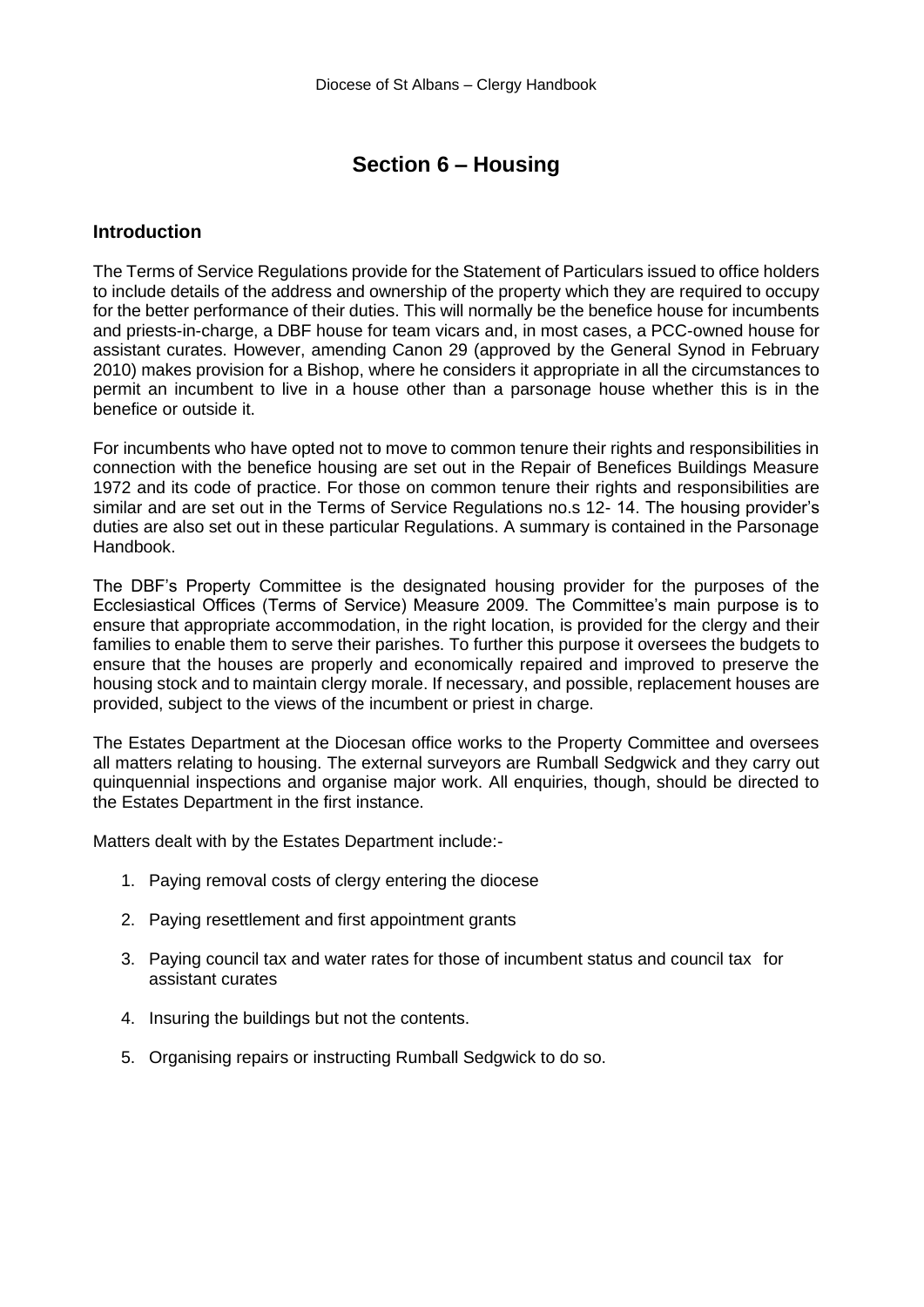# **Section 6 – Housing**

#### <span id="page-10-0"></span>**Introduction**

The Terms of Service Regulations provide for the Statement of Particulars issued to office holders to include details of the address and ownership of the property which they are required to occupy for the better performance of their duties. This will normally be the benefice house for incumbents and priests-in-charge, a DBF house for team vicars and, in most cases, a PCC-owned house for assistant curates. However, amending Canon 29 (approved by the General Synod in February 2010) makes provision for a Bishop, where he considers it appropriate in all the circumstances to permit an incumbent to live in a house other than a parsonage house whether this is in the benefice or outside it.

For incumbents who have opted not to move to common tenure their rights and responsibilities in connection with the benefice housing are set out in the Repair of Benefices Buildings Measure 1972 and its code of practice. For those on common tenure their rights and responsibilities are similar and are set out in the Terms of Service Regulations no.s 12- 14. The housing provider's duties are also set out in these particular Regulations. A summary is contained in the Parsonage Handbook.

The DBF's Property Committee is the designated housing provider for the purposes of the Ecclesiastical Offices (Terms of Service) Measure 2009. The Committee's main purpose is to ensure that appropriate accommodation, in the right location, is provided for the clergy and their families to enable them to serve their parishes. To further this purpose it oversees the budgets to ensure that the houses are properly and economically repaired and improved to preserve the housing stock and to maintain clergy morale. If necessary, and possible, replacement houses are provided, subject to the views of the incumbent or priest in charge.

The Estates Department at the Diocesan office works to the Property Committee and oversees all matters relating to housing. The external surveyors are Rumball Sedgwick and they carry out quinquennial inspections and organise major work. All enquiries, though, should be directed to the Estates Department in the first instance.

Matters dealt with by the Estates Department include:-

- 1. Paying removal costs of clergy entering the diocese
- 2. Paying resettlement and first appointment grants
- 3. Paying council tax and water rates for those of incumbent status and council tax for assistant curates
- 4. Insuring the buildings but not the contents.
- 5. Organising repairs or instructing Rumball Sedgwick to do so.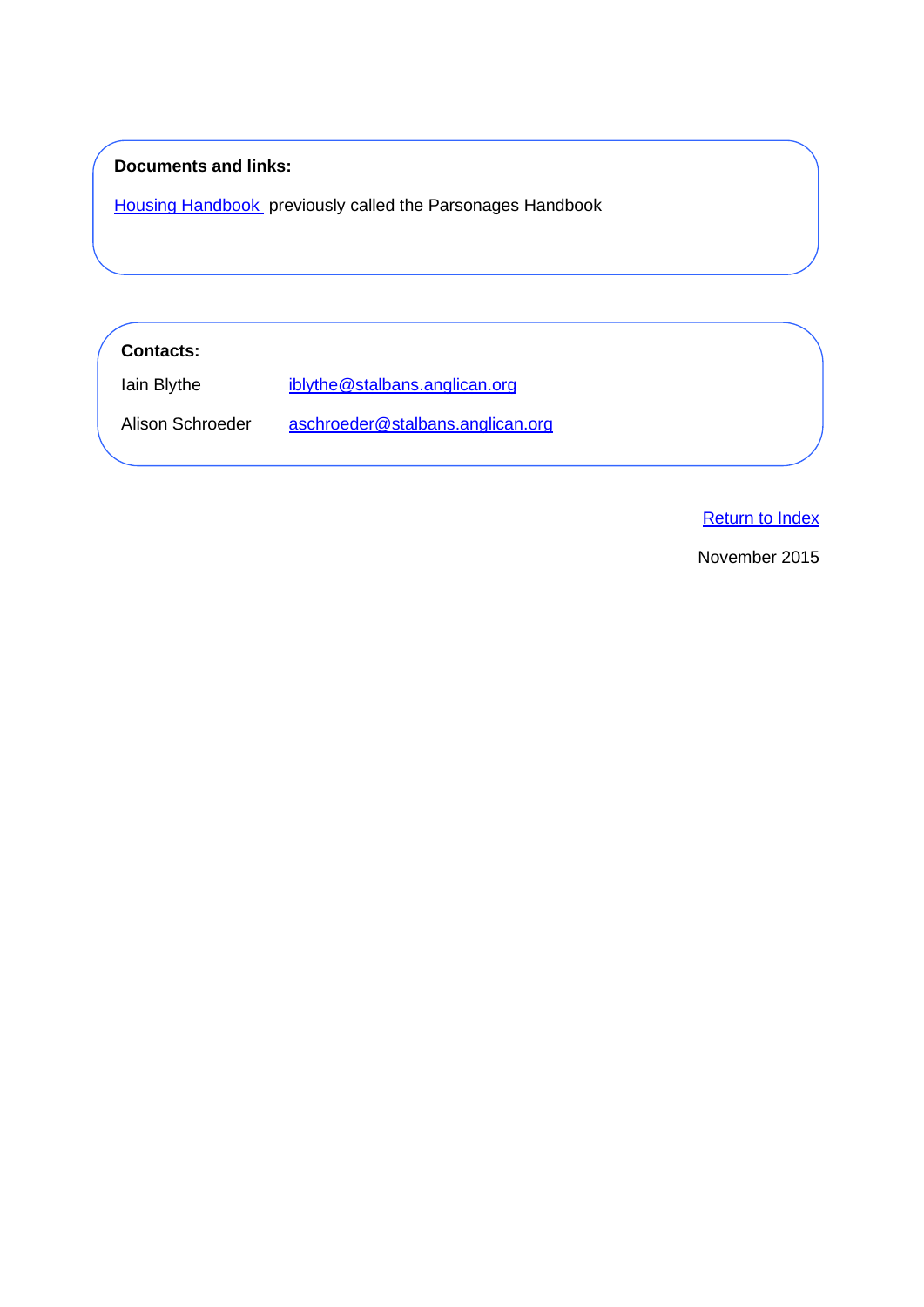# **Documents and links:**

[Housing Handbook](https://www.stalbans.anglican.org/diocese/housing-handbook/) previously called the Parsonages Handbook

**Contacts:** 

Iain Blythe [iblythe@stalbans.anglican.org](mailto:iblythe@stalbans.anglican.org)

Alison Schroeder [aschroeder@stalbans.anglican.org](mailto:aschroeder@stalbans.anglican.org)

[Return to Index](#page-0-0)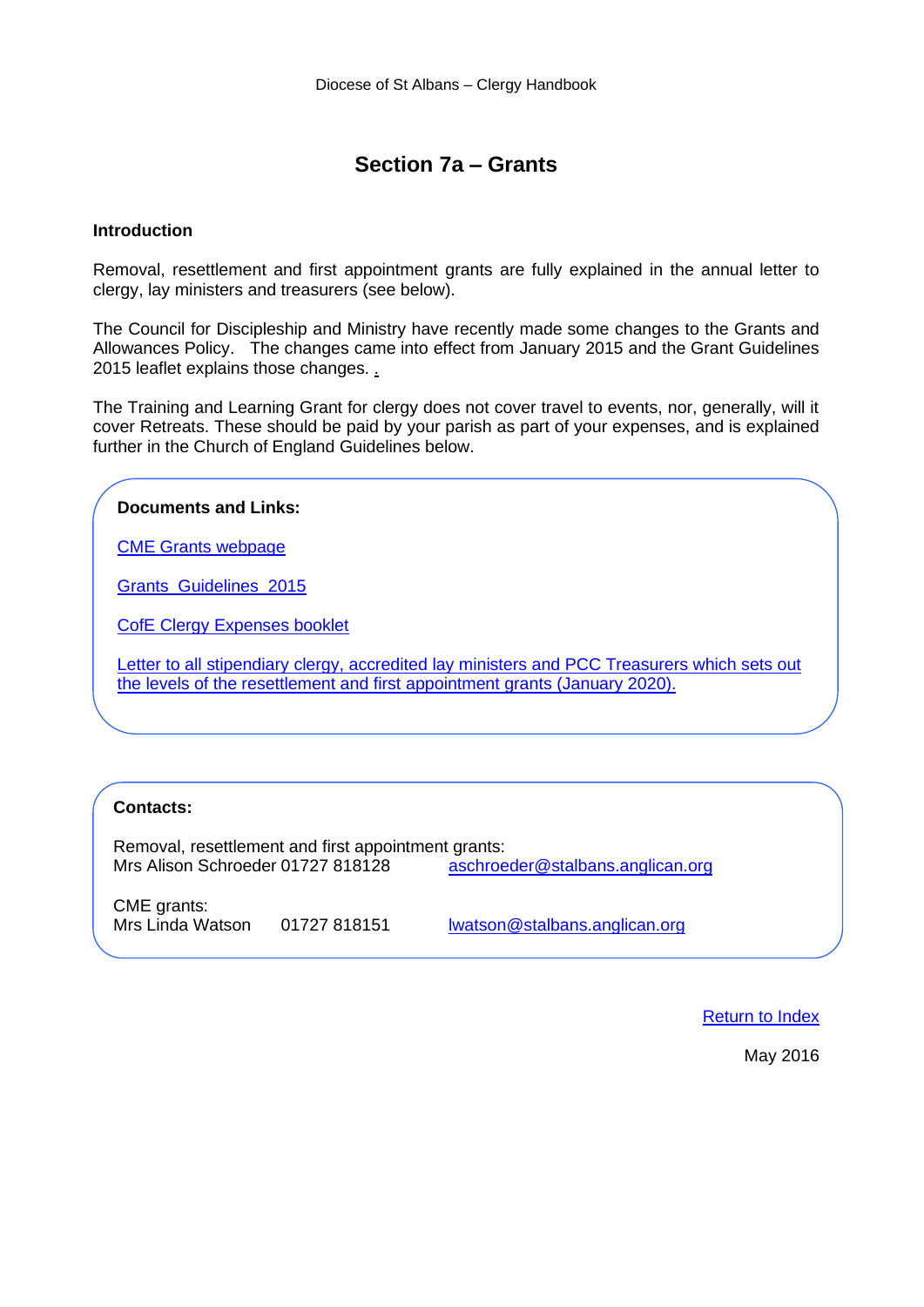# **Section 7a – Grants**

### <span id="page-12-0"></span>**Introduction**

Removal, resettlement and first appointment grants are fully explained in the annual letter to clergy, lay ministers and treasurers (see below).

The Council for Discipleship and Ministry have recently made some changes to the Grants and Allowances Policy. The changes came into effect from January 2015 and the Grant Guidelines 2015 leaflet explains those changes. .

The Training and Learning Grant for clergy does not cover travel to events, nor, generally, will it cover Retreats. These should be paid by your parish as part of your expenses, and is explained further in the Church of England Guidelines below.

# **Documents and Links:** [CME Grants](http://www.stalbans.anglican.org/ministry/grants) webpage [Grants\\_Guidelines\\_2015](http://www.stalbans.anglican.org/wp-content/uploads/1969/12/Grants_Guidelines_2015.pdf) [CofE Clergy Expenses booklet](https://www.churchofengland.org/sites/default/files/2017-10/Parochial%20Expenses%20Guide%20-%202017.pdf) Letter to all stipendiary clergy, accredited lay ministers and PCC Treasurers which sets out [the levels of the resettlement and first appointment grants \(January 2020\).](https://www.stalbans.anglican.org/wp-content/uploads/Stipends-Letter-2020.pdf)

# **Contacts:**

Removal, resettlement and first appointment grants:<br>Mrs Alison Schroeder 01727 818128 [aschroeder@stalbans.anglican.org](mailto:aschroeder@stalbans.anglican.org)

CME grants: Mrs Linda Watson 01727 818151 [lwatson@stalbans.anglican.org](mailto:lwatson@stalbans.anglican.org?subject=Portal%20Login)

[Return to Index](#page-0-0)

May 2016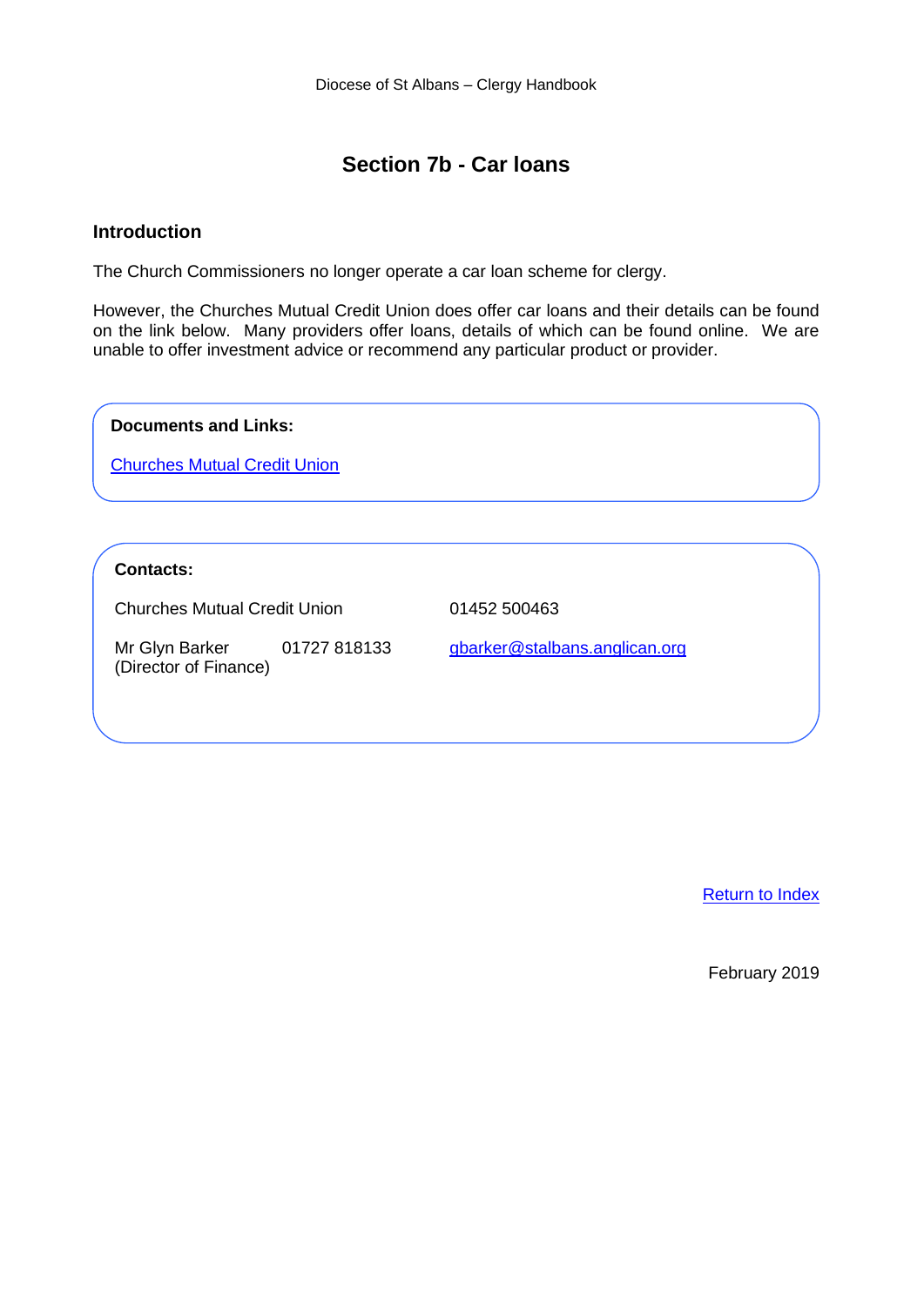# **Section 7b - Car loans**

# <span id="page-13-0"></span>**Introduction**

The Church Commissioners no longer operate a car loan scheme for clergy.

However, the Churches Mutual Credit Union does offer car loans and their details can be found on the link below. Many providers offer loans, details of which can be found online. We are unable to offer investment advice or recommend any particular product or provider.

**Documents and Links:**

[Churches Mutual Credit Union](https://cmcu.org.uk/car-loans)

# **Contacts:**

Churches Mutual Credit Union 01452 500463

Mr Glyn Barker 01727 818133 [gbarker@stalbans.anglican.org](mailto:gbarker@stalbans.anglican.org) (Director of Finance)

[Return to Index](#page-0-0)

February 2019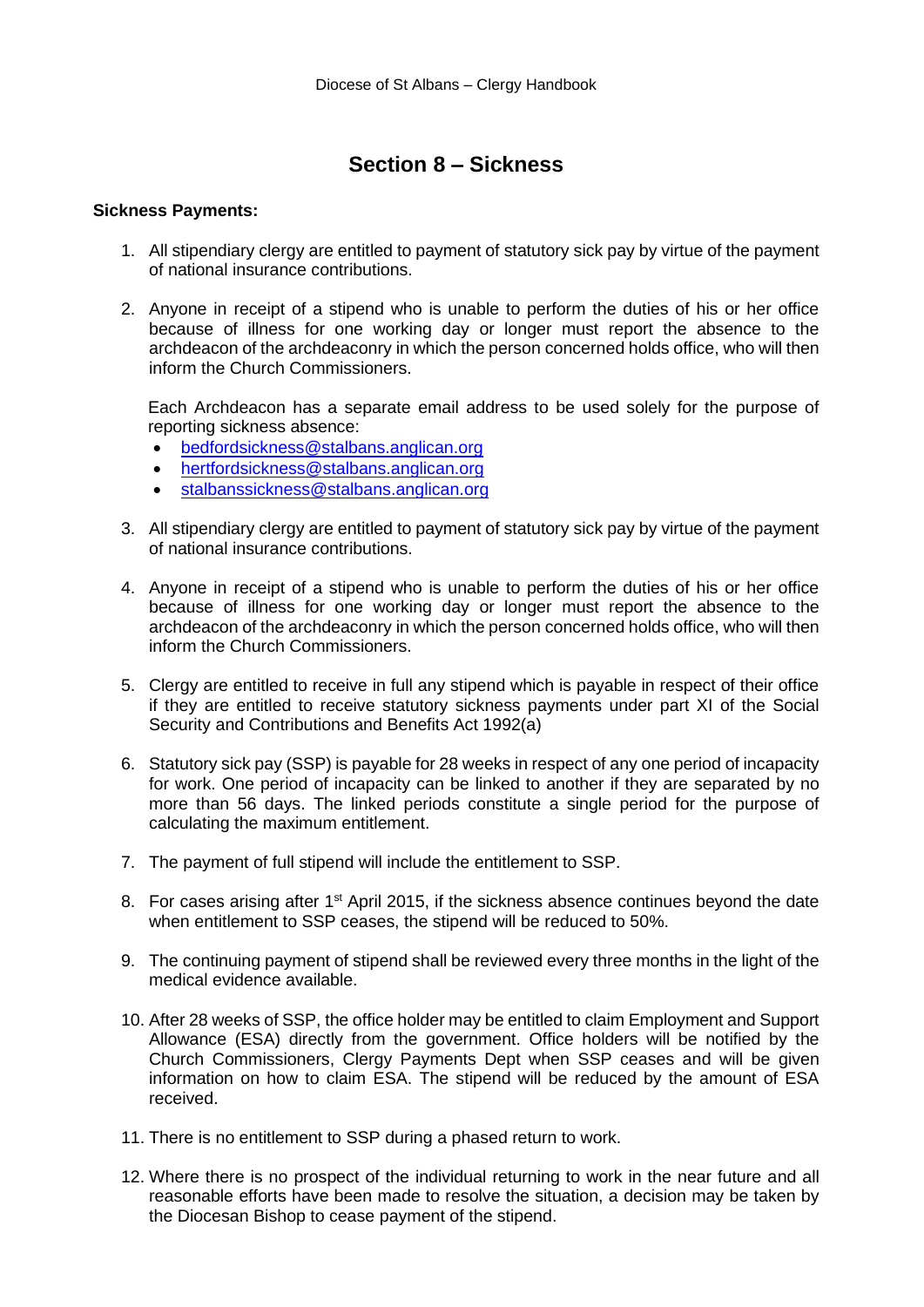# **Section 8 – Sickness**

#### <span id="page-14-0"></span>**Sickness Payments:**

- 1. All stipendiary clergy are entitled to payment of statutory sick pay by virtue of the payment of national insurance contributions.
- 2. Anyone in receipt of a stipend who is unable to perform the duties of his or her office because of illness for one working day or longer must report the absence to the archdeacon of the archdeaconry in which the person concerned holds office, who will then inform the Church Commissioners.

Each Archdeacon has a separate email address to be used solely for the purpose of reporting sickness absence:

- [bedfordsickness@stalbans.anglican.org](mailto:archdbedf@stalbans.anglican.org)
- [hertfordsickness@stalbans.anglican.org](mailto:archdhert@stalbans.anglican.org)
- [stalbanssickness@stalbans.anglican.org](http://stalbansdioces.wpengine.com/wp-content/uploads/downloads/thediocese/housinghandbook.pdf)
- 3. All stipendiary clergy are entitled to payment of statutory sick pay by virtue of the payment of national insurance contributions.
- 4. Anyone in receipt of a stipend who is unable to perform the duties of his or her office because of illness for one working day or longer must report the absence to the archdeacon of the archdeaconry in which the person concerned holds office, who will then inform the Church Commissioners.
- 5. Clergy are entitled to receive in full any stipend which is payable in respect of their office if they are entitled to receive statutory sickness payments under part XI of the Social Security and Contributions and Benefits Act 1992(a)
- 6. Statutory sick pay (SSP) is payable for 28 weeks in respect of any one period of incapacity for work. One period of incapacity can be linked to another if they are separated by no more than 56 days. The linked periods constitute a single period for the purpose of calculating the maximum entitlement.
- 7. The payment of full stipend will include the entitlement to SSP.
- 8. For cases arising after 1<sup>st</sup> April 2015, if the sickness absence continues beyond the date when entitlement to SSP ceases, the stipend will be reduced to 50%.
- 9. The continuing payment of stipend shall be reviewed every three months in the light of the medical evidence available.
- 10. After 28 weeks of SSP, the office holder may be entitled to claim Employment and Support Allowance (ESA) directly from the government. Office holders will be notified by the Church Commissioners, Clergy Payments Dept when SSP ceases and will be given information on how to claim ESA. The stipend will be reduced by the amount of ESA received.
- 11. There is no entitlement to SSP during a phased return to work.
- 12. Where there is no prospect of the individual returning to work in the near future and all reasonable efforts have been made to resolve the situation, a decision may be taken by the Diocesan Bishop to cease payment of the stipend.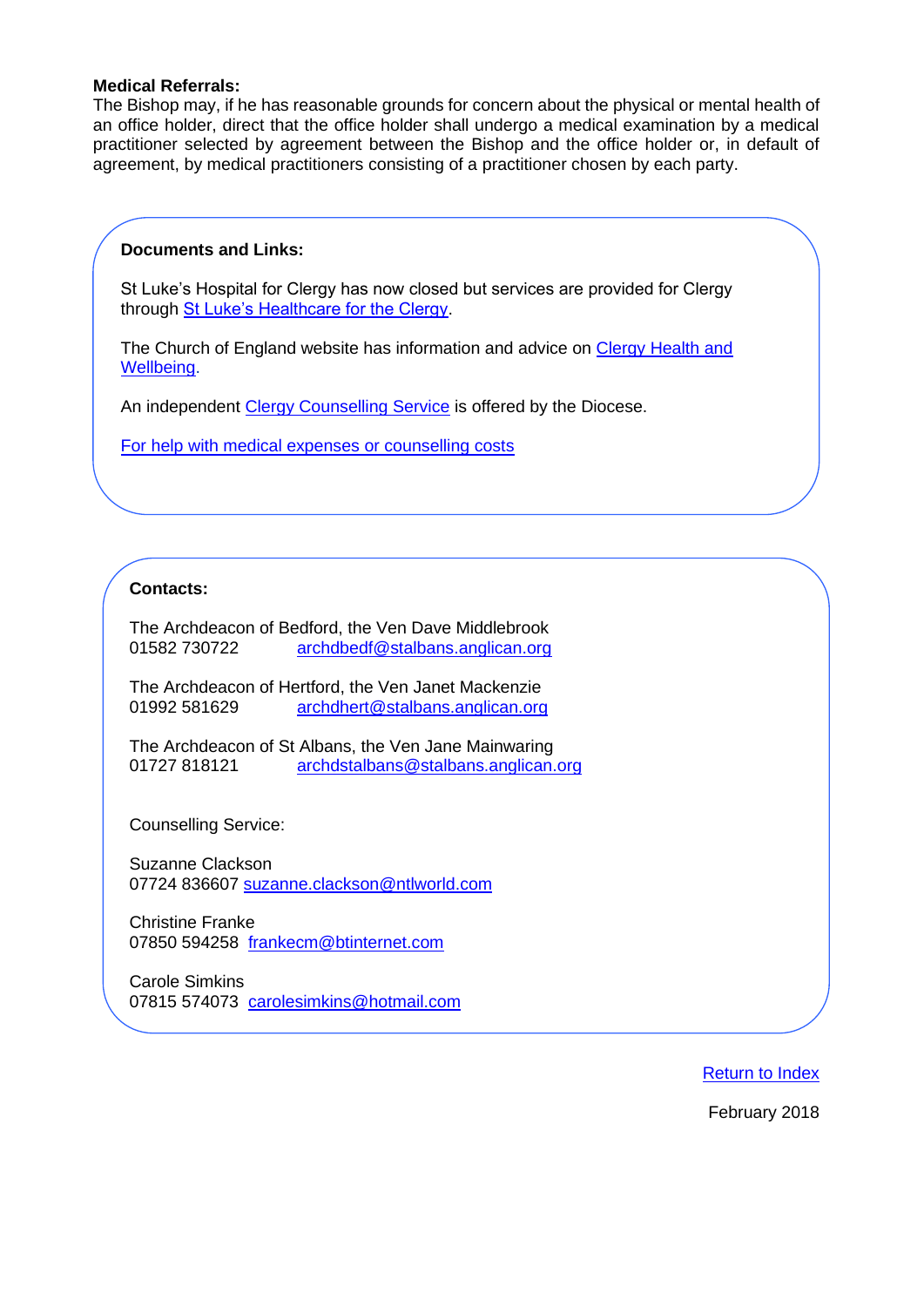### **Medical Referrals:**

The Bishop may, if he has reasonable grounds for concern about the physical or mental health of an office holder, direct that the office holder shall undergo a medical examination by a medical practitioner selected by agreement between the Bishop and the office holder or, in default of agreement, by medical practitioners consisting of a practitioner chosen by each party.

### **Documents and Links:**

St Luke's Hospital for Clergy has now closed but services are provided for Clergy through [St Luke's Healthcare for the Clergy.](https://stlukeshealthcare.org.uk/)

The Church of England website has information and advice on [Clergy Health and](https://www.churchofengland.org/more/clergy-resources/national-clergy-hr/supporting-clergy-health-and-wellbeing)  [Wellbeing.](https://www.churchofengland.org/more/clergy-resources/national-clergy-hr/supporting-clergy-health-and-wellbeing)

An independent [Clergy Counselling Service](https://www.stalbans.anglican.org/ministry/clergy-counselling-service/) is offered by the Diocese.

[For help with medical expenses or counselling costs](https://www.clergycharities.org.uk/)

# **Contacts:**

The Archdeacon of Bedford, the Ven Dave Middlebrook 01582 730722 [archdbedf@stalbans.anglican.org](mailto:archdbedf@stalbans.anglican.org)

The Archdeacon of Hertford, the Ven Janet Mackenzie 01992 581629 [archdhert@stalbans.anglican.org](mailto:archdhert@stalbans.anglican.org)

The Archdeacon of St Albans, the Ven Jane Mainwaring 01727 818121 [archdstalbans@stalbans.anglican.org](mailto:archdstalbans@stalbans.anglican.org)

Counselling Service:

Suzanne Clackson 07724 836607 [suzanne.clackson@ntlworld.com](mailto:suzanne.clackson@ntlworld.com)

Christine Franke 07850 594258 [frankecm@btinternet.com](mailto:frankecm@btinternet.com)

Carole Simkins 07815 574073 [carolesimkins@hotmail.com](mailto:carolesimkins@hotmail.com)

[Return to Index](#page-0-0)

February 2018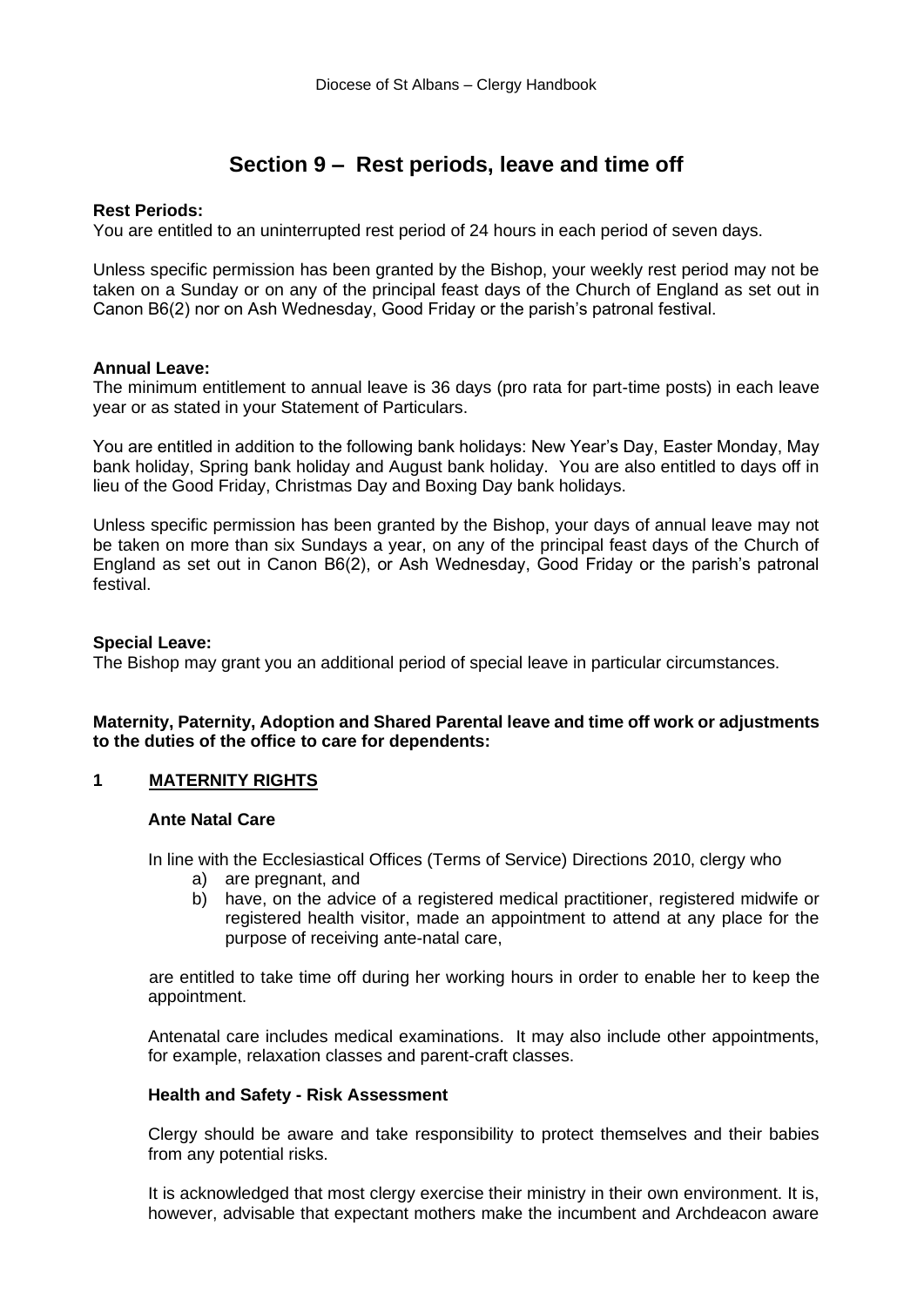# **Section 9 – Rest periods, leave and time off**

# <span id="page-16-0"></span>**Rest Periods:**

You are entitled to an uninterrupted rest period of 24 hours in each period of seven days.

Unless specific permission has been granted by the Bishop, your weekly rest period may not be taken on a Sunday or on any of the principal feast days of the Church of England as set out in Canon B6(2) nor on Ash Wednesday, Good Friday or the parish's patronal festival.

# **Annual Leave:**

The minimum entitlement to annual leave is 36 days (pro rata for part-time posts) in each leave year or as stated in your Statement of Particulars.

You are entitled in addition to the following bank holidays: New Year's Day, Easter Monday, May bank holiday, Spring bank holiday and August bank holiday. You are also entitled to days off in lieu of the Good Friday, Christmas Day and Boxing Day bank holidays.

Unless specific permission has been granted by the Bishop, your days of annual leave may not be taken on more than six Sundays a year, on any of the principal feast days of the Church of England as set out in Canon B6(2), or Ash Wednesday, Good Friday or the parish's patronal festival.

# **Special Leave:**

The Bishop may grant you an additional period of special leave in particular circumstances.

# **Maternity, Paternity, Adoption and Shared Parental leave and time off work or adjustments to the duties of the office to care for dependents:**

# **1 MATERNITY RIGHTS**

# **Ante Natal Care**

In line with the Ecclesiastical Offices (Terms of Service) Directions 2010, clergy who

- a) are pregnant, and
- b) have, on the advice of a registered medical practitioner, registered midwife or registered health visitor, made an appointment to attend at any place for the purpose of receiving ante-natal care,

are entitled to take time off during her working hours in order to enable her to keep the appointment.

Antenatal care includes medical examinations. It may also include other appointments, for example, relaxation classes and parent-craft classes.

# **Health and Safety - Risk Assessment**

Clergy should be aware and take responsibility to protect themselves and their babies from any potential risks.

It is acknowledged that most clergy exercise their ministry in their own environment. It is, however, advisable that expectant mothers make the incumbent and Archdeacon aware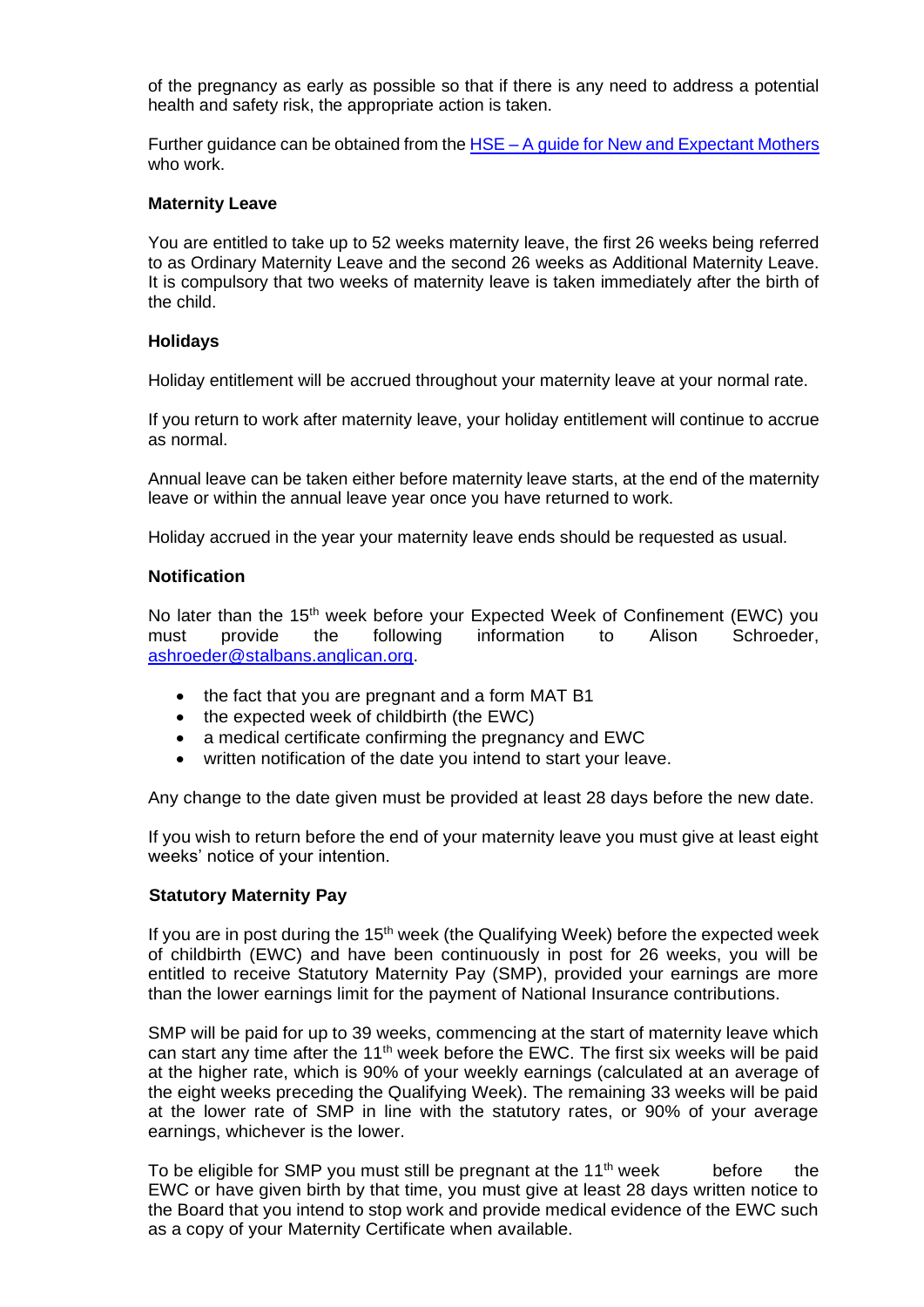of the pregnancy as early as possible so that if there is any need to address a potential health and safety risk, the appropriate action is taken.

Further guidance can be obtained from the HSE – [A guide for New and Expectant Mothers](http://www.hse.gov.uk/mothers/) who work.

#### **Maternity Leave**

You are entitled to take up to 52 weeks maternity leave, the first 26 weeks being referred to as Ordinary Maternity Leave and the second 26 weeks as Additional Maternity Leave. It is compulsory that two weeks of maternity leave is taken immediately after the birth of the child.

#### **Holidays**

Holiday entitlement will be accrued throughout your maternity leave at your normal rate.

If you return to work after maternity leave, your holiday entitlement will continue to accrue as normal.

Annual leave can be taken either before maternity leave starts, at the end of the maternity leave or within the annual leave year once you have returned to work.

Holiday accrued in the year your maternity leave ends should be requested as usual.

### **Notification**

No later than the 15<sup>th</sup> week before your Expected Week of Confinement (EWC) you must provide the following information to Alison Schroeder, [ashroeder@stalbans.anglican.org.](mailto:ashroeder@stalbans.anglican.org)

- the fact that you are pregnant and a form MAT B1
- the expected week of childbirth (the EWC)
- a medical certificate confirming the pregnancy and EWC
- written notification of the date you intend to start your leave.

Any change to the date given must be provided at least 28 days before the new date.

If you wish to return before the end of your maternity leave you must give at least eight weeks' notice of your intention.

# **Statutory Maternity Pay**

If you are in post during the  $15<sup>th</sup>$  week (the Qualifying Week) before the expected week of childbirth (EWC) and have been continuously in post for 26 weeks, you will be entitled to receive Statutory Maternity Pay (SMP), provided your earnings are more than the lower earnings limit for the payment of National Insurance contributions.

SMP will be paid for up to 39 weeks, commencing at the start of maternity leave which can start any time after the 11<sup>th</sup> week before the EWC. The first six weeks will be paid at the higher rate, which is 90% of your weekly earnings (calculated at an average of the eight weeks preceding the Qualifying Week). The remaining 33 weeks will be paid at the lower rate of SMP in line with the statutory rates, or 90% of your average earnings, whichever is the lower.

To be eligible for SMP you must still be pregnant at the  $11<sup>th</sup>$  week before the EWC or have given birth by that time, you must give at least 28 days written notice to the Board that you intend to stop work and provide medical evidence of the EWC such as a copy of your Maternity Certificate when available.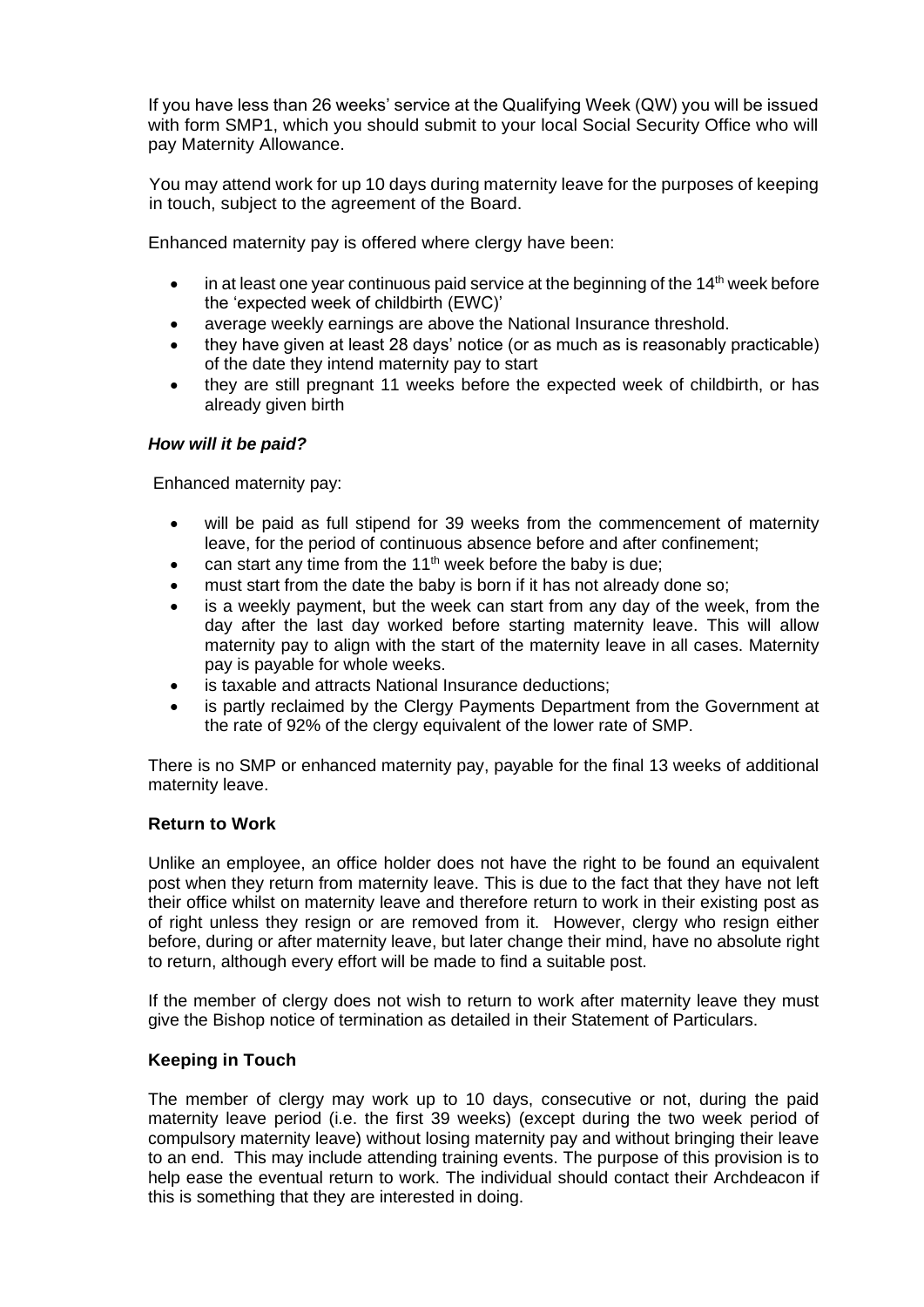If you have less than 26 weeks' service at the Qualifying Week (QW) you will be issued with form SMP1, which you should submit to your local Social Security Office who will pay Maternity Allowance.

You may attend work for up 10 days during maternity leave for the purposes of keeping in touch, subject to the agreement of the Board.

Enhanced maternity pay is offered where clergy have been:

- in at least one year continuous paid service at the beginning of the  $14<sup>th</sup>$  week before the 'expected week of childbirth (EWC)'
- average weekly earnings are above the National Insurance threshold.
- they have given at least 28 days' notice (or as much as is reasonably practicable) of the date they intend maternity pay to start
- they are still pregnant 11 weeks before the expected week of childbirth, or has already given birth

# *How will it be paid?*

Enhanced maternity pay:

- will be paid as full stipend for 39 weeks from the commencement of maternity leave, for the period of continuous absence before and after confinement;
- can start any time from the  $11<sup>th</sup>$  week before the baby is due;
- must start from the date the baby is born if it has not already done so;
- is a weekly payment, but the week can start from any day of the week, from the day after the last day worked before starting maternity leave. This will allow maternity pay to align with the start of the maternity leave in all cases. Maternity pay is payable for whole weeks.
- is taxable and attracts National Insurance deductions;
- is partly reclaimed by the Clergy Payments Department from the Government at the rate of 92% of the clergy equivalent of the lower rate of SMP.

There is no SMP or enhanced maternity pay, payable for the final 13 weeks of additional maternity leave.

# **Return to Work**

Unlike an employee, an office holder does not have the right to be found an equivalent post when they return from maternity leave. This is due to the fact that they have not left their office whilst on maternity leave and therefore return to work in their existing post as of right unless they resign or are removed from it. However, clergy who resign either before, during or after maternity leave, but later change their mind, have no absolute right to return, although every effort will be made to find a suitable post.

If the member of clergy does not wish to return to work after maternity leave they must give the Bishop notice of termination as detailed in their Statement of Particulars.

# **Keeping in Touch**

The member of clergy may work up to 10 days, consecutive or not, during the paid maternity leave period (i.e. the first 39 weeks) (except during the two week period of compulsory maternity leave) without losing maternity pay and without bringing their leave to an end. This may include attending training events. The purpose of this provision is to help ease the eventual return to work. The individual should contact their Archdeacon if this is something that they are interested in doing.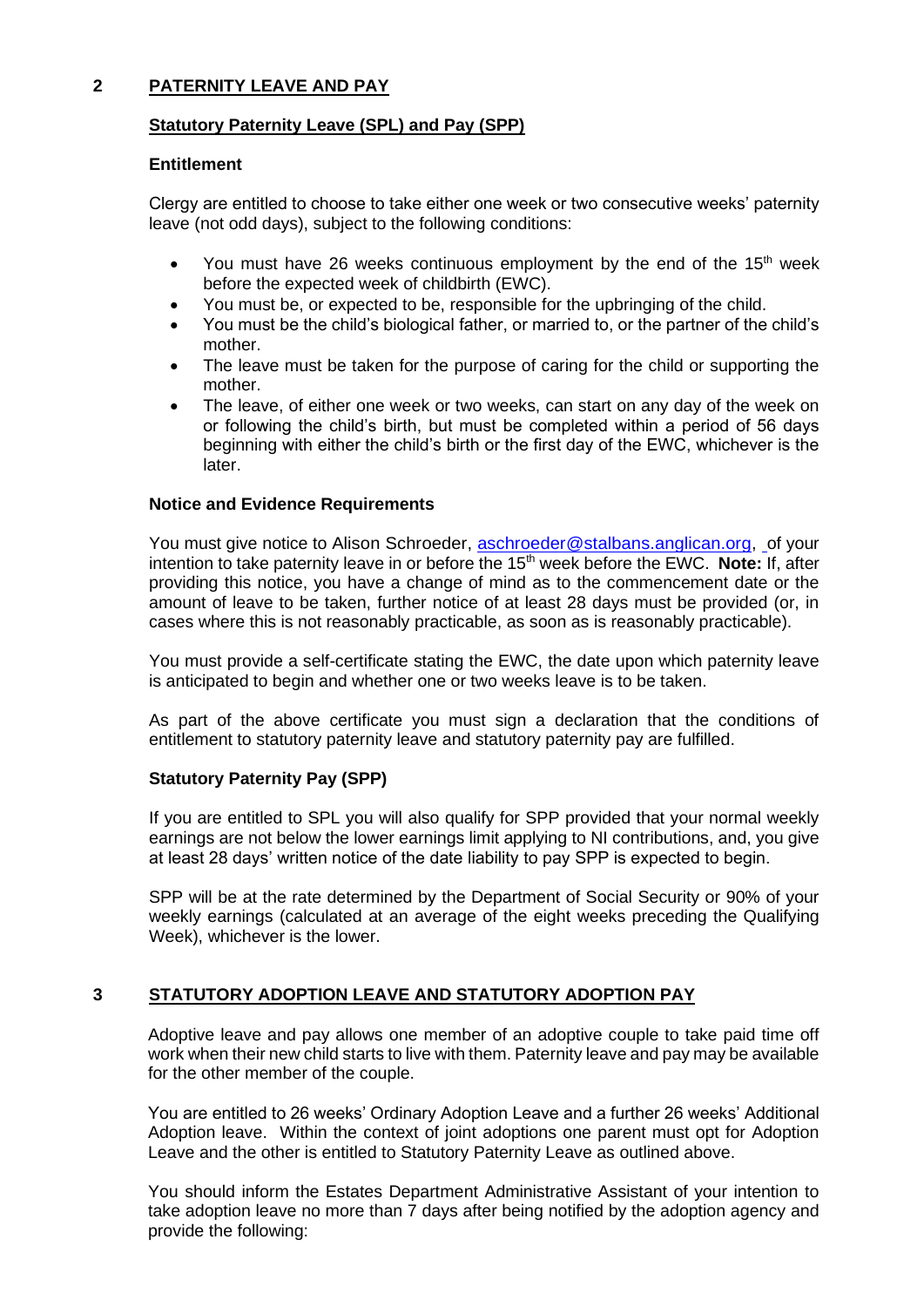# **2 PATERNITY LEAVE AND PAY**

# **Statutory Paternity Leave (SPL) and Pay (SPP)**

# **Entitlement**

Clergy are entitled to choose to take either one week or two consecutive weeks' paternity leave (not odd days), subject to the following conditions:

- You must have 26 weeks continuous employment by the end of the  $15<sup>th</sup>$  week before the expected week of childbirth (EWC).
- You must be, or expected to be, responsible for the upbringing of the child.
- You must be the child's biological father, or married to, or the partner of the child's mother.
- The leave must be taken for the purpose of caring for the child or supporting the mother.
- The leave, of either one week or two weeks, can start on any day of the week on or following the child's birth, but must be completed within a period of 56 days beginning with either the child's birth or the first day of the EWC, whichever is the later.

#### **Notice and Evidence Requirements**

You must give notice to Alison Schroeder, [aschroeder@stalbans.anglican.org,](mailto:aschroeder@stalbans.anglican.org) of your intention to take paternity leave in or before the 15<sup>th</sup> week before the EWC. Note: If, after providing this notice, you have a change of mind as to the commencement date or the amount of leave to be taken, further notice of at least 28 days must be provided (or, in cases where this is not reasonably practicable, as soon as is reasonably practicable).

You must provide a self-certificate stating the EWC, the date upon which paternity leave is anticipated to begin and whether one or two weeks leave is to be taken.

As part of the above certificate you must sign a declaration that the conditions of entitlement to statutory paternity leave and statutory paternity pay are fulfilled.

# **Statutory Paternity Pay (SPP)**

If you are entitled to SPL you will also qualify for SPP provided that your normal weekly earnings are not below the lower earnings limit applying to NI contributions, and, you give at least 28 days' written notice of the date liability to pay SPP is expected to begin.

SPP will be at the rate determined by the Department of Social Security or 90% of your weekly earnings (calculated at an average of the eight weeks preceding the Qualifying Week), whichever is the lower.

# **3 STATUTORY ADOPTION LEAVE AND STATUTORY ADOPTION PAY**

Adoptive leave and pay allows one member of an adoptive couple to take paid time off work when their new child starts to live with them. Paternity leave and pay may be available for the other member of the couple.

You are entitled to 26 weeks' Ordinary Adoption Leave and a further 26 weeks' Additional Adoption leave. Within the context of joint adoptions one parent must opt for Adoption Leave and the other is entitled to Statutory Paternity Leave as outlined above.

You should inform the Estates Department Administrative Assistant of your intention to take adoption leave no more than 7 days after being notified by the adoption agency and provide the following: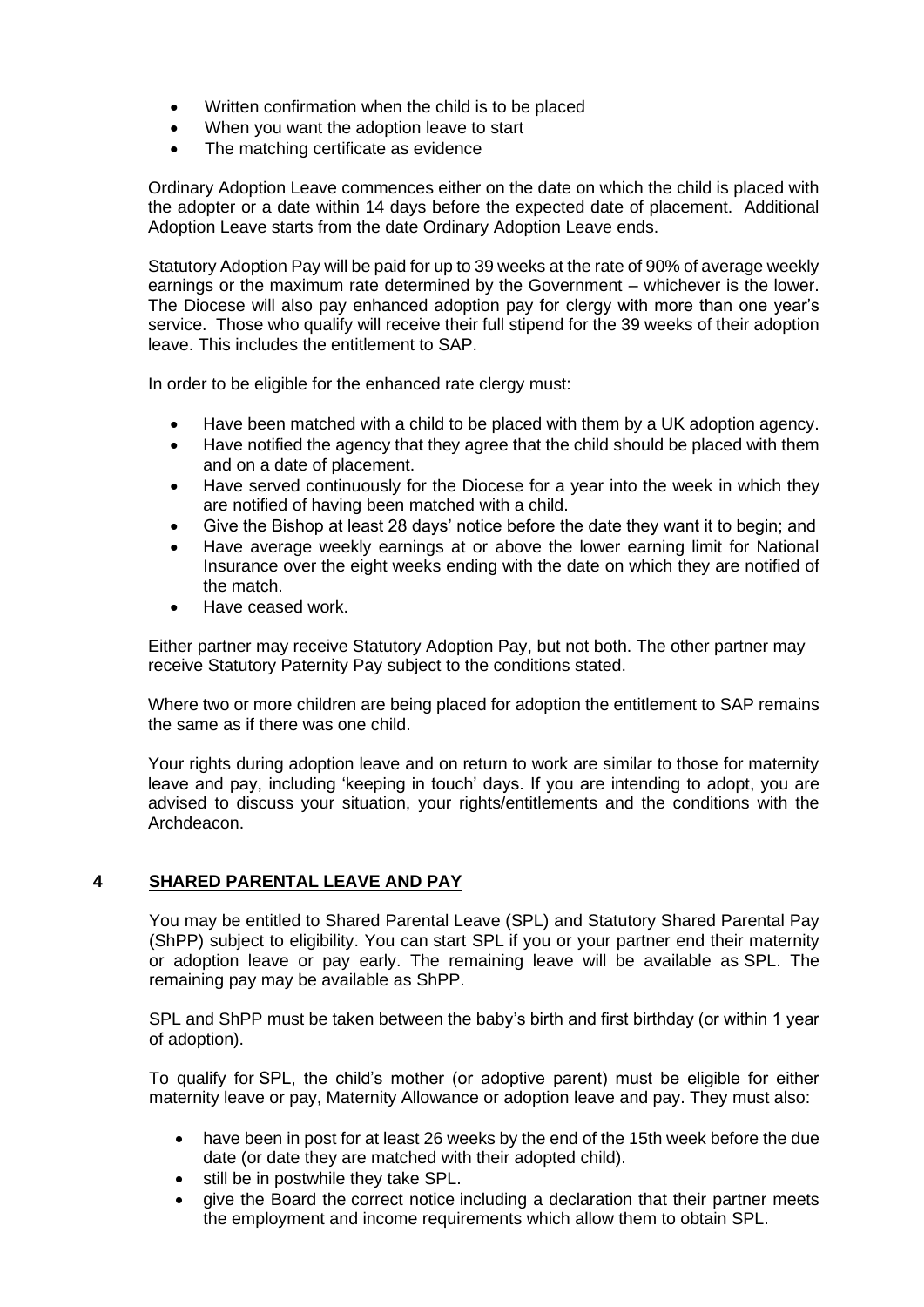- Written confirmation when the child is to be placed
- When you want the adoption leave to start
- The matching certificate as evidence

Ordinary Adoption Leave commences either on the date on which the child is placed with the adopter or a date within 14 days before the expected date of placement. Additional Adoption Leave starts from the date Ordinary Adoption Leave ends.

Statutory Adoption Pay will be paid for up to 39 weeks at the rate of 90% of average weekly earnings or the maximum rate determined by the Government – whichever is the lower. The Diocese will also pay enhanced adoption pay for clergy with more than one year's service. Those who qualify will receive their full stipend for the 39 weeks of their adoption leave. This includes the entitlement to SAP.

In order to be eligible for the enhanced rate clergy must:

- Have been matched with a child to be placed with them by a UK adoption agency.
- Have notified the agency that they agree that the child should be placed with them and on a date of placement.
- Have served continuously for the Diocese for a year into the week in which they are notified of having been matched with a child.
- Give the Bishop at least 28 days' notice before the date they want it to begin; and
- Have average weekly earnings at or above the lower earning limit for National Insurance over the eight weeks ending with the date on which they are notified of the match.
- Have ceased work.

Either partner may receive Statutory Adoption Pay, but not both. The other partner may receive Statutory Paternity Pay subject to the conditions stated.

Where two or more children are being placed for adoption the entitlement to SAP remains the same as if there was one child.

Your rights during adoption leave and on return to work are similar to those for maternity leave and pay, including 'keeping in touch' days. If you are intending to adopt, you are advised to discuss your situation, your rights/entitlements and the conditions with the Archdeacon.

# **4 SHARED PARENTAL LEAVE AND PAY**

You may be entitled to Shared Parental Leave (SPL) and Statutory Shared Parental Pay (ShPP) subject to eligibility. You can start SPL if you or your partner end their maternity or adoption leave or pay early. The remaining leave will be available as SPL. The remaining pay may be available as ShPP.

SPL and ShPP must be taken between the baby's birth and first birthday (or within 1 year of adoption).

To qualify for SPL, the child's mother (or adoptive parent) must be eligible for either maternity leave or pay, Maternity Allowance or adoption leave and pay. They must also:

- have been in post for at least 26 weeks by the end of the 15th week before the due date (or date they are matched with their adopted child).
- still be in postwhile they take SPL.
- give the Board the correct notice including a declaration that their partner meets the employment and income requirements which allow them to obtain SPL.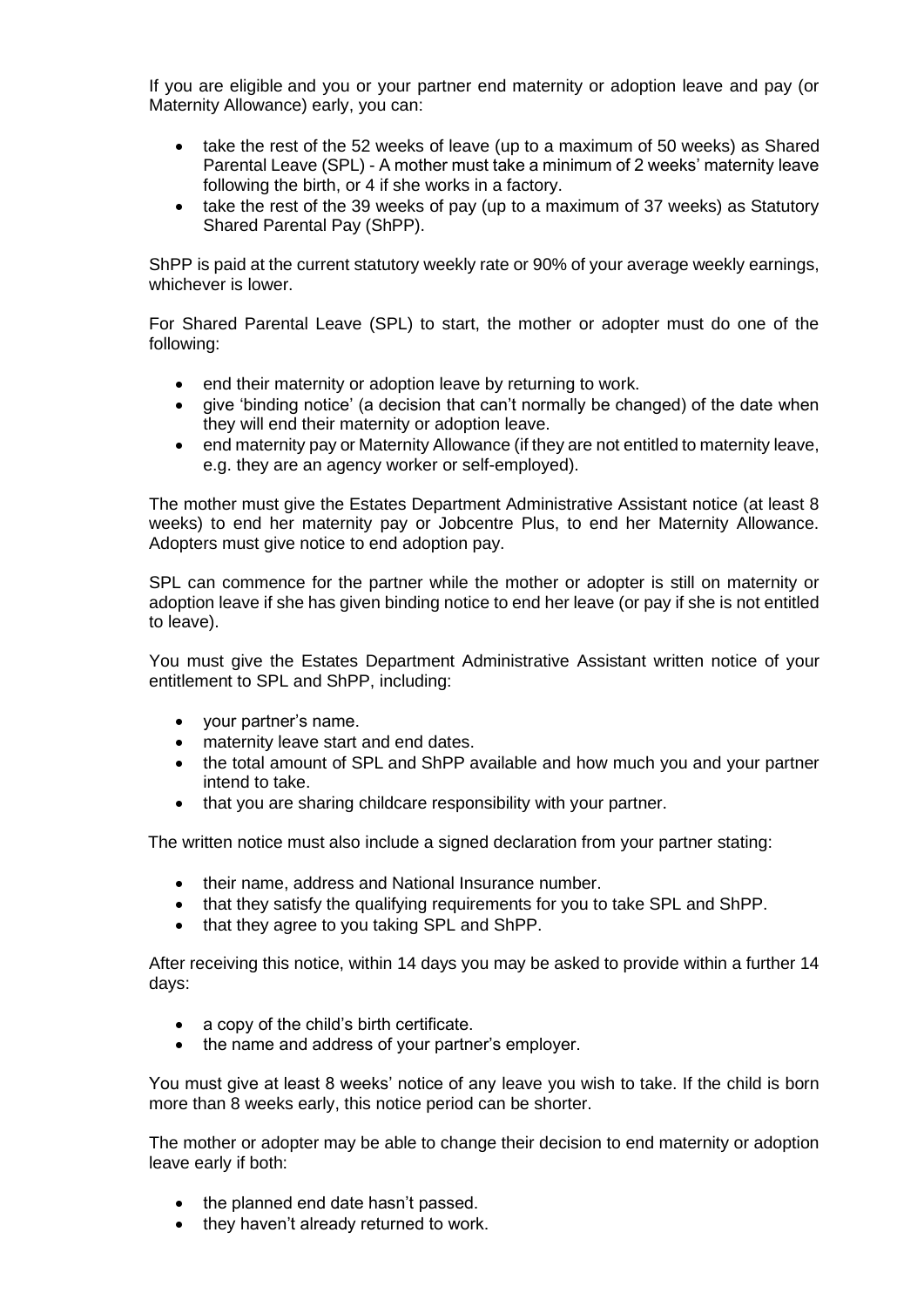If you are eligible and you or your partner end maternity or adoption leave and pay (or Maternity Allowance) early, you can:

- take the rest of the 52 weeks of leave (up to a maximum of 50 weeks) as Shared Parental Leave (SPL) - A mother must take a minimum of 2 weeks' maternity leave following the birth, or 4 if she works in a factory.
- take the rest of the 39 weeks of pay (up to a maximum of 37 weeks) as Statutory Shared Parental Pay (ShPP).

ShPP is paid at the current statutory weekly rate or 90% of your average weekly earnings, whichever is lower.

For Shared Parental Leave (SPL) to start, the mother or adopter must do one of the following:

- end their maternity or adoption leave by returning to work.
- give 'binding notice' (a decision that can't normally be changed) of the date when they will end their maternity or adoption leave.
- end maternity pay or Maternity Allowance (if they are not entitled to maternity leave, e.g. they are an agency worker or self-employed).

The mother must give the Estates Department Administrative Assistant notice (at least 8 weeks) to end her maternity pay or Jobcentre Plus, to end her Maternity Allowance. Adopters must give notice to end adoption pay.

SPL can commence for the partner while the mother or adopter is still on maternity or adoption leave if she has given binding notice to end her leave (or pay if she is not entitled to leave).

You must give the Estates Department Administrative Assistant written notice of your entitlement to SPL and ShPP, including:

- your partner's name.
- maternity leave start and end dates.
- the total amount of SPL and ShPP available and how much you and your partner intend to take.
- that you are sharing childcare responsibility with your partner.

The written notice must also include a signed declaration from your partner stating:

- their name, address and National Insurance number.
- that they satisfy the qualifying requirements for you to take SPL and ShPP.
- that they agree to you taking SPL and ShPP.

After receiving this notice, within 14 days you may be asked to provide within a further 14 days:

- a copy of the child's birth certificate.
- the name and address of your partner's employer.

You must give at least 8 weeks' notice of any leave you wish to take. If the child is born more than 8 weeks early, this notice period can be shorter.

The mother or adopter may be able to change their decision to end maternity or adoption leave early if both:

- the planned end date hasn't passed.
- they haven't already returned to work.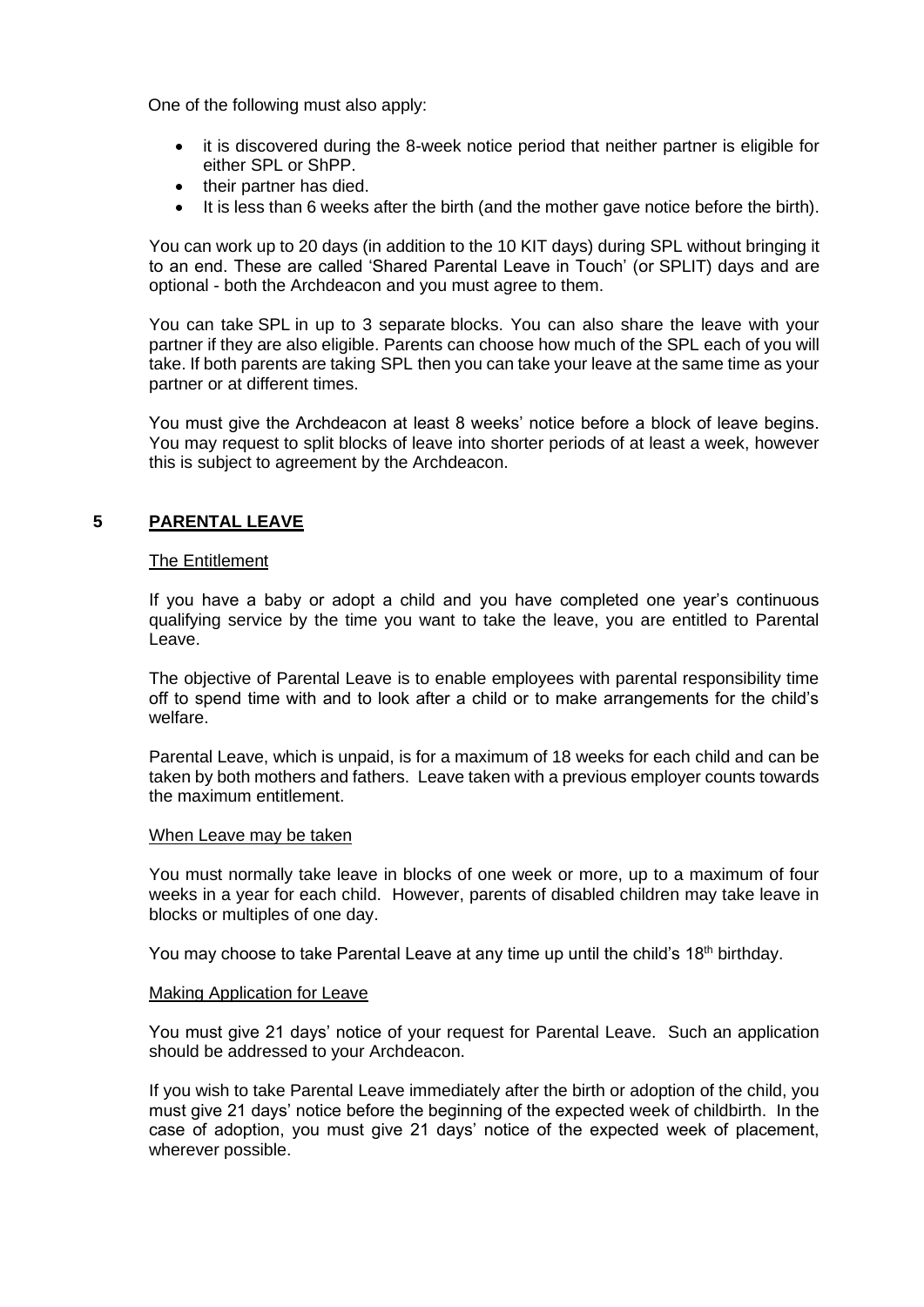One of the following must also apply:

- it is discovered during the 8-week notice period that neither partner is eligible for either SPL or ShPP.
- their partner has died.
- It is less than 6 weeks after the birth (and the mother gave notice before the birth).

You can work up to 20 days (in addition to the 10 KIT days) during SPL without bringing it to an end. These are called 'Shared Parental Leave in Touch' (or SPLIT) days and are optional - both the Archdeacon and you must agree to them.

You can take SPL in up to 3 separate blocks. You can also share the leave with your partner if they are also eligible. Parents can choose how much of the SPL each of you will take. If both parents are taking SPL then you can take your leave at the same time as your partner or at different times.

You must give the Archdeacon at least 8 weeks' notice before a block of leave begins. You may request to split blocks of leave into shorter periods of at least a week, however this is subject to agreement by the Archdeacon.

# **5 PARENTAL LEAVE**

#### The Entitlement

If you have a baby or adopt a child and you have completed one year's continuous qualifying service by the time you want to take the leave, you are entitled to Parental Leave.

The objective of Parental Leave is to enable employees with parental responsibility time off to spend time with and to look after a child or to make arrangements for the child's welfare.

Parental Leave, which is unpaid, is for a maximum of 18 weeks for each child and can be taken by both mothers and fathers. Leave taken with a previous employer counts towards the maximum entitlement.

#### When Leave may be taken

You must normally take leave in blocks of one week or more, up to a maximum of four weeks in a year for each child. However, parents of disabled children may take leave in blocks or multiples of one day.

You may choose to take Parental Leave at any time up until the child's 18<sup>th</sup> birthday.

#### Making Application for Leave

You must give 21 days' notice of your request for Parental Leave. Such an application should be addressed to your Archdeacon.

If you wish to take Parental Leave immediately after the birth or adoption of the child, you must give 21 days' notice before the beginning of the expected week of childbirth. In the case of adoption, you must give 21 days' notice of the expected week of placement, wherever possible.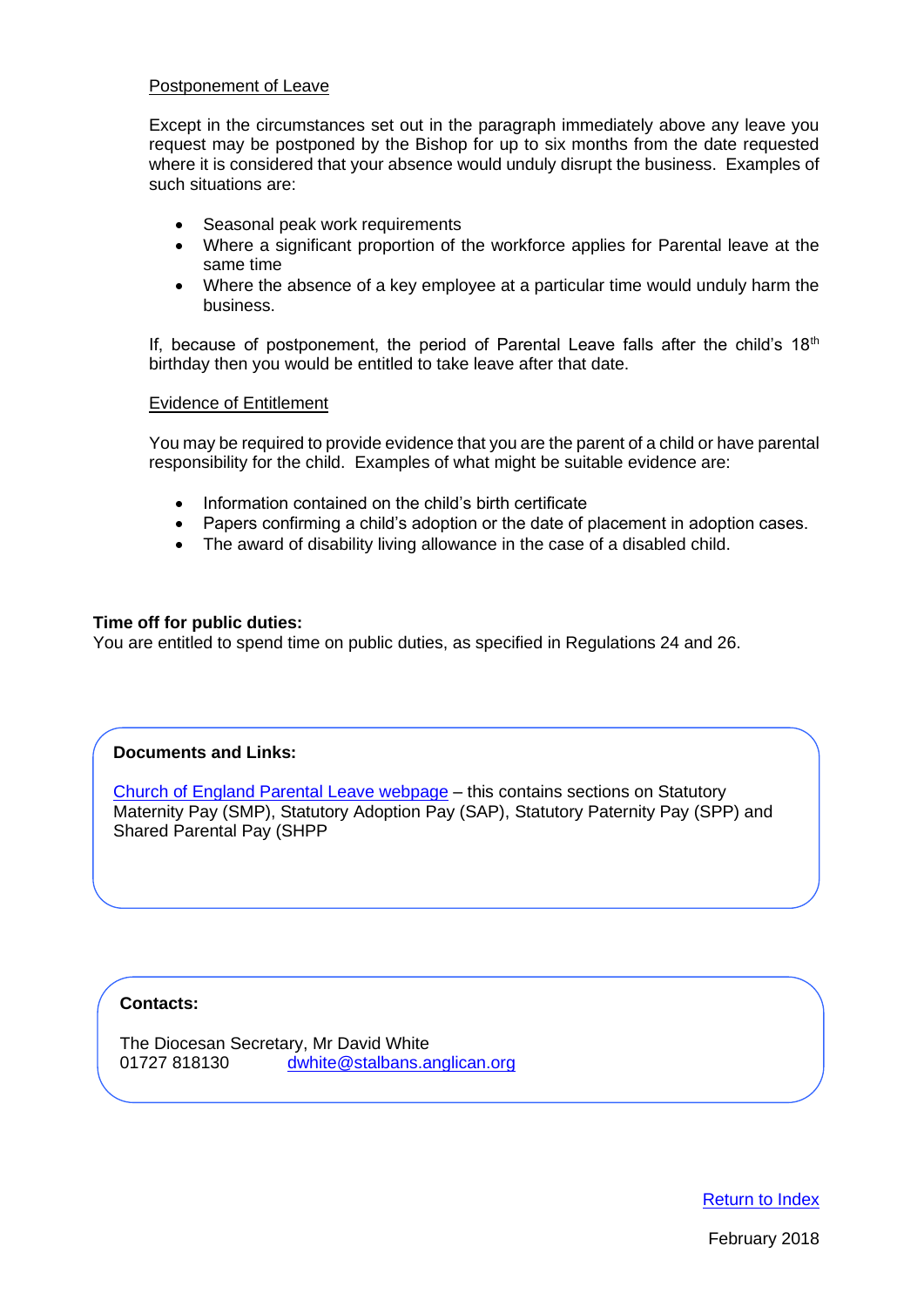#### Postponement of Leave

Except in the circumstances set out in the paragraph immediately above any leave you request may be postponed by the Bishop for up to six months from the date requested where it is considered that your absence would unduly disrupt the business. Examples of such situations are:

- Seasonal peak work requirements
- Where a significant proportion of the workforce applies for Parental leave at the same time
- Where the absence of a key employee at a particular time would unduly harm the business.

If, because of postponement, the period of Parental Leave falls after the child's  $18<sup>th</sup>$ birthday then you would be entitled to take leave after that date.

#### Evidence of Entitlement

You may be required to provide evidence that you are the parent of a child or have parental responsibility for the child. Examples of what might be suitable evidence are:

- Information contained on the child's birth certificate
- Papers confirming a child's adoption or the date of placement in adoption cases.
- The award of disability living allowance in the case of a disabled child.

#### **Time off for public duties:**

You are entitled to spend time on public duties, as specified in Regulations 24 and 26.

# **Documents and Links:**

[Church of England Parental Leave webpage](https://www.churchofengland.org/more/clergy-resources/clergy-payroll/parental-leave) – this contains sections on Statutory [Maternity Pay \(SMP\), Statutory Adoption Pay \(SAP\), Statutory Paternity Pay \(SPP\)](https://www.churchofengland.org/more/clergy-resources/clergy-payroll/parental-leave) and [Shared Parental Pay \(SHPP](https://www.churchofengland.org/more/clergy-resources/clergy-payroll/parental-leave)

# **Contacts:**

The Diocesan Secretary, Mr David White 01727 818130 [dwhite@stalbans.anglican.org](mailto:dwhite@stalbans.anglican.org)

[Return to Index](#page-0-0)

February 2018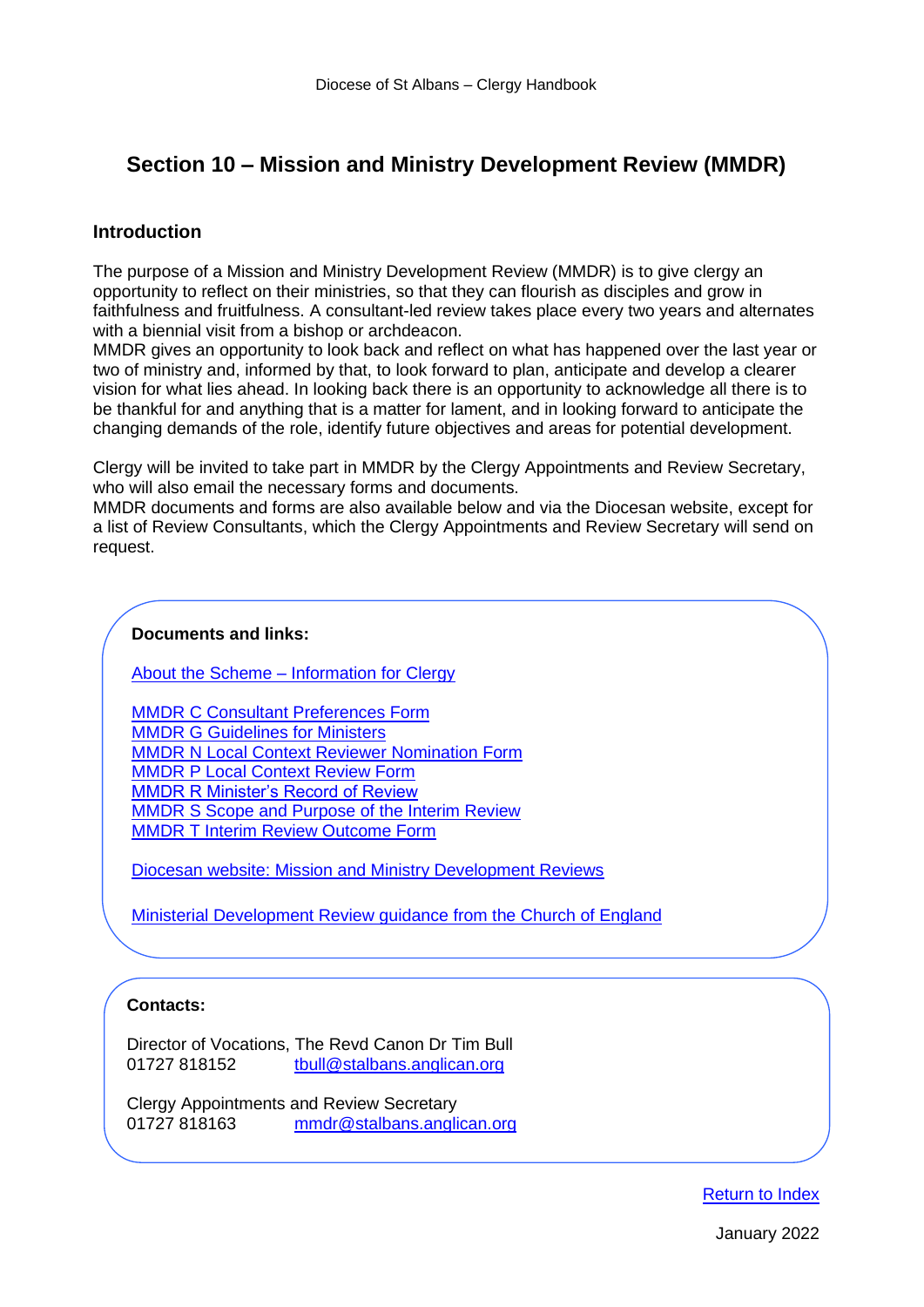# <span id="page-24-0"></span>**Section 10 – Mission and Ministry Development Review (MMDR)**

# **Introduction**

The purpose of a Mission and Ministry Development Review (MMDR) is to give clergy an opportunity to reflect on their ministries, so that they can flourish as disciples and grow in faithfulness and fruitfulness. A consultant-led review takes place every two years and alternates with a biennial visit from a bishop or archdeacon.

MMDR gives an opportunity to look back and reflect on what has happened over the last year or two of ministry and, informed by that, to look forward to plan, anticipate and develop a clearer vision for what lies ahead. In looking back there is an opportunity to acknowledge all there is to be thankful for and anything that is a matter for lament, and in looking forward to anticipate the changing demands of the role, identify future objectives and areas for potential development.

Clergy will be invited to take part in MMDR by the Clergy Appointments and Review Secretary, who will also email the necessary forms and documents.

MMDR documents and forms are also available below and via the Diocesan website, except for a list of Review Consultants, which the Clergy Appointments and Review Secretary will send on request.

#### **Documents and links:**

About the Scheme – [Information for Clergy](https://www.stalbans.anglican.org/ministry/mission-and-ministry-development-reviews/mmdr-a-161017/)

[MMDR C Consultant Preferences Form](http://www.stalbans.anglican.org/wp-content/uploads/MMDR-C-240316.docx) [MMDR G Guidelines for Ministers](http://www.stalbans.anglican.org/wp-content/uploads/MMDR-G-310316.pdf) [MMDR N Local Context Reviewer Nomination Form](http://www.stalbans.anglican.org/wp-content/uploads/MMDR-N-240316.docx) [MMDR P Local Context Review Form](http://www.stalbans.anglican.org/wp-content/uploads/MMDR-P-310316.docx) [MMDR R Minister's Record of Review](http://www.stalbans.anglican.org/wp-content/uploads/MMDR-R-310316.docx) [MMDR S Scope and Purpose of the Interim Review](http://www.stalbans.anglican.org/wp-content/uploads/MMDR-S-110516.pdf) [MMDR T Interim Review Outcome Form](http://www.stalbans.anglican.org/wp-content/uploads/MMDR-T-310316.docx)

[Diocesan website: Mission and Ministry Development Reviews](https://www.stalbans.anglican.org/ministry/mission-and-ministry-development-reviews/)

[Ministerial Development Review guidance from the Church of England](https://www.churchofengland.org/sites/default/files/2017-10/ministry_development_review_guidance.pdf)

# **Contacts:**

Director of Vocations, The Revd Canon Dr Tim Bull 01727 818152 [tbull@stalbans.anglican.org](mailto:tbull@stalbans.anglican.org)

Clergy Appointments and Review Secretary 01727 818163 [mmdr@stalbans.anglican.org](mailto:mmdr@stalbans.anglican.org?subject=MMDR)

[Return to Index](#page-0-0)

January 2022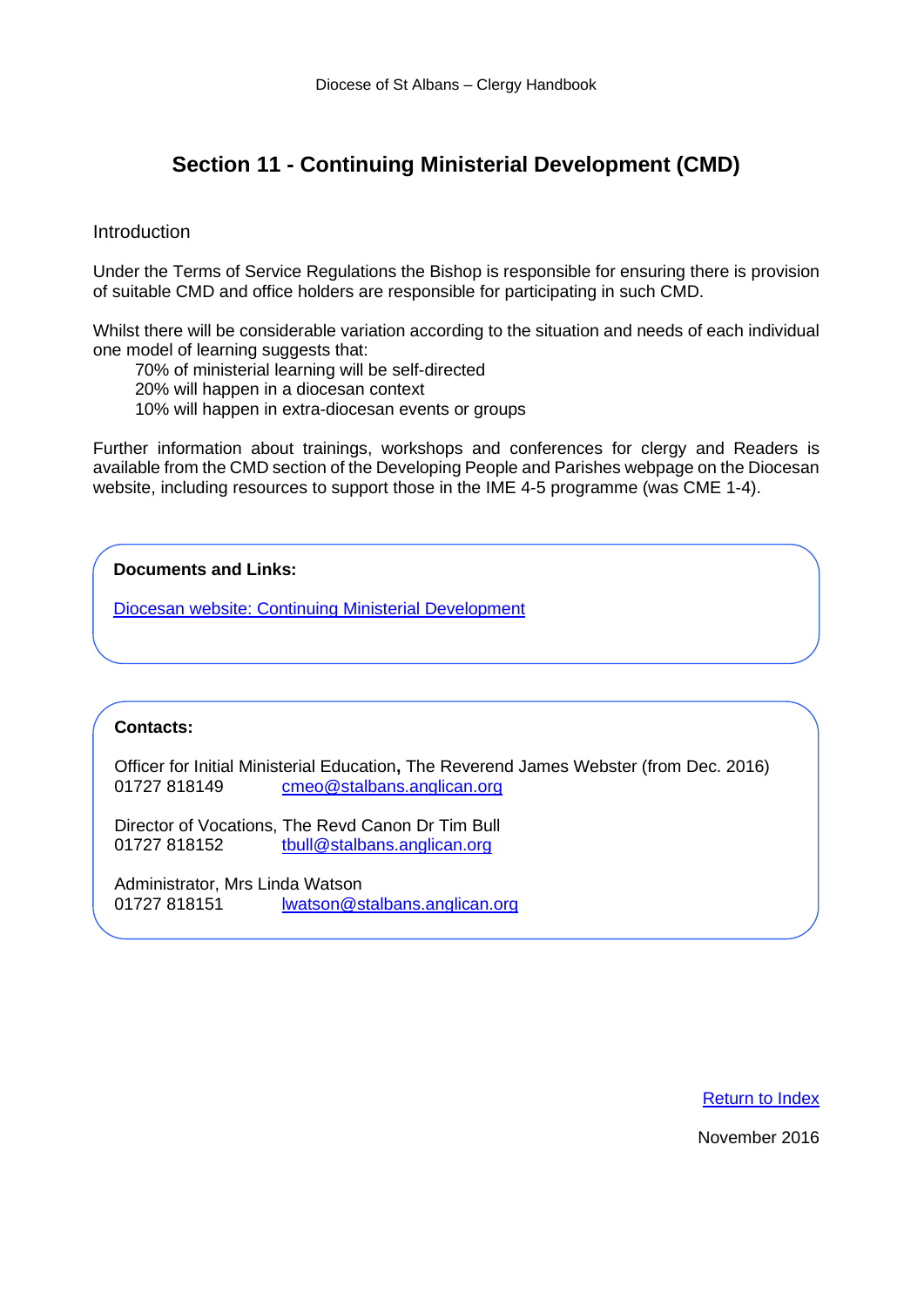# <span id="page-25-0"></span>**Section 11 - Continuing Ministerial Development (CMD)**

#### Introduction

Under the Terms of Service Regulations the Bishop is responsible for ensuring there is provision of suitable CMD and office holders are responsible for participating in such CMD.

Whilst there will be considerable variation according to the situation and needs of each individual one model of learning suggests that:

70% of ministerial learning will be self-directed

20% will happen in a diocesan context

10% will happen in extra-diocesan events or groups

Further information about trainings, workshops and conferences for clergy and Readers is available from the CMD section of the Developing People and Parishes webpage on the Diocesan website, including resources to support those in the IME 4-5 programme (was CME 1-4).

# **Documents and Links:**

[Diocesan website: Continuing Ministerial Development](https://www.stalbans.anglican.org/ministry/continuing-ministerial-development/)

#### **Contacts:**

Officer for Initial Ministerial Education**,** The Reverend James Webster (from Dec. 2016) 01727 818149 [cmeo@stalbans.anglican.org](mailto:cmeo@stalbans.anglican.org)

Director of Vocations, The Revd Canon Dr Tim Bull 01727 818152 [tbull@stalbans.anglican.org](mailto:tbull@stalbans.anglican.org)

Administrator, Mrs Linda Watson 01727 818151 [lwatson@stalbans.anglican.org](mailto:lwatson@stalbans.anglican.org?subject=Portal%20Login)

#### [Return to Index](#page-0-0)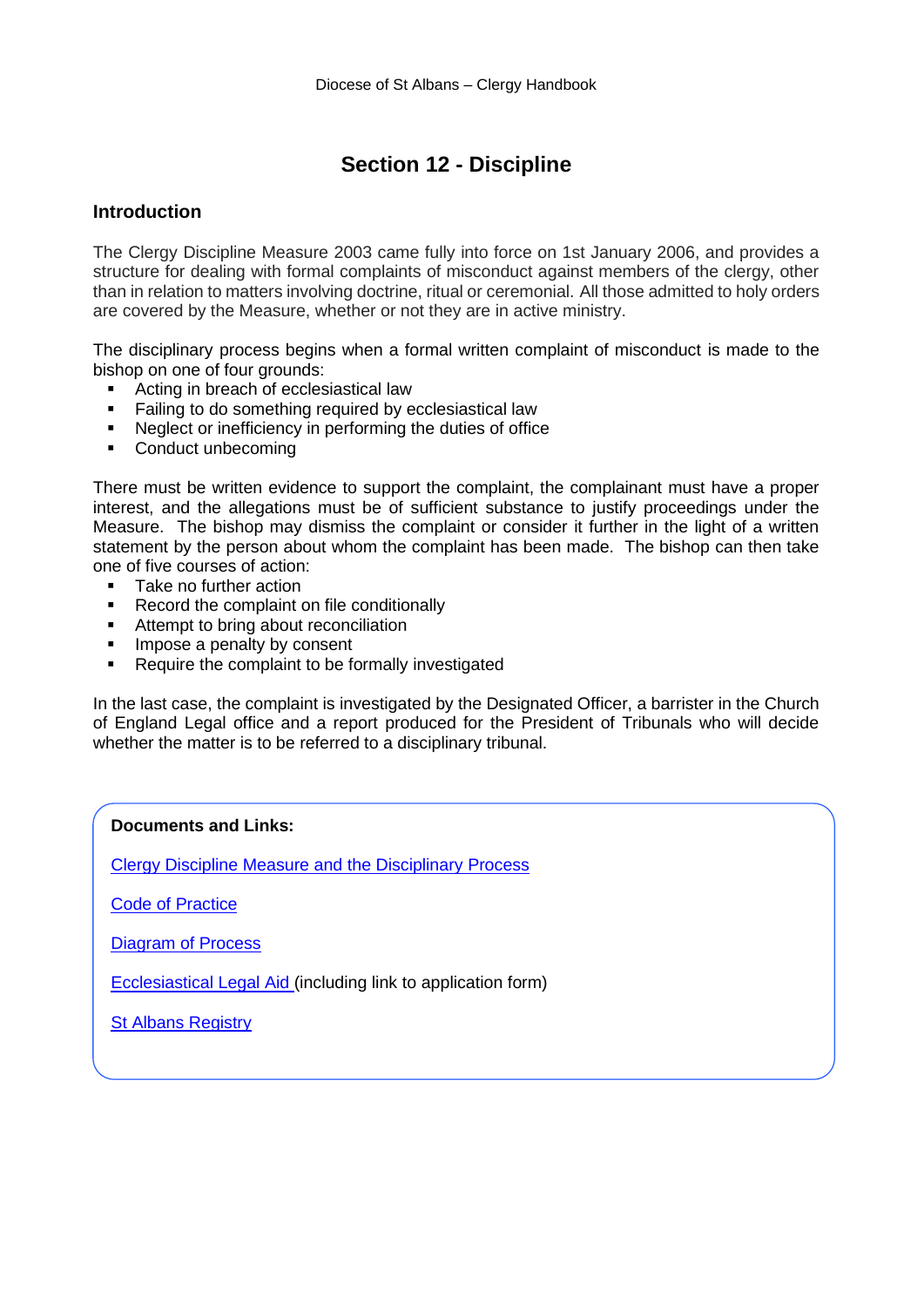# **Section 12 - Discipline**

# <span id="page-26-0"></span>**Introduction**

The Clergy Discipline Measure 2003 came fully into force on 1st January 2006, and provides a structure for dealing with formal complaints of misconduct against members of the clergy, other than in relation to matters involving doctrine, ritual or ceremonial. All those admitted to holy orders are covered by the Measure, whether or not they are in active ministry.

The disciplinary process begins when a formal written complaint of misconduct is made to the bishop on one of four grounds:

- Acting in breach of ecclesiastical law
- Failing to do something required by ecclesiastical law
- Neglect or inefficiency in performing the duties of office
- Conduct unbecoming

There must be written evidence to support the complaint, the complainant must have a proper interest, and the allegations must be of sufficient substance to justify proceedings under the Measure. The bishop may dismiss the complaint or consider it further in the light of a written statement by the person about whom the complaint has been made. The bishop can then take one of five courses of action:

- Take no further action
- Record the complaint on file conditionally
- Attempt to bring about reconciliation
- **■** Impose a penalty by consent
- Require the complaint to be formally investigated

In the last case, the complaint is investigated by the Designated Officer, a barrister in the Church of England Legal office and a report produced for the President of Tribunals who will decide whether the matter is to be referred to a disciplinary tribunal.

#### **Documents and Links:**

[Clergy Discipline Measure and the Disciplinary Process](https://www.churchofengland.org/about/leadership-and-governance/legal-services/clergy-discipline/code-practice-and-other-guidance)

[Code of Practice](https://www.churchofengland.org/about/leadership-and-governance/legal-services/clergy-discipline/code-practice-and-other-guidance)

[Diagram of Process](https://www.churchofengland.org/sites/default/files/2017-10/diagram.pdf)

[Ecclesiastical Legal Aid](https://www.churchofengland.org/about/leadership-and-governance/legal-services/clergy-discipline/ecclesiastical-legal-aid) (including link to application form)

**[St Albans Registry](http://www.stalbans.anglican.org/diocese/diocesan-registry/)**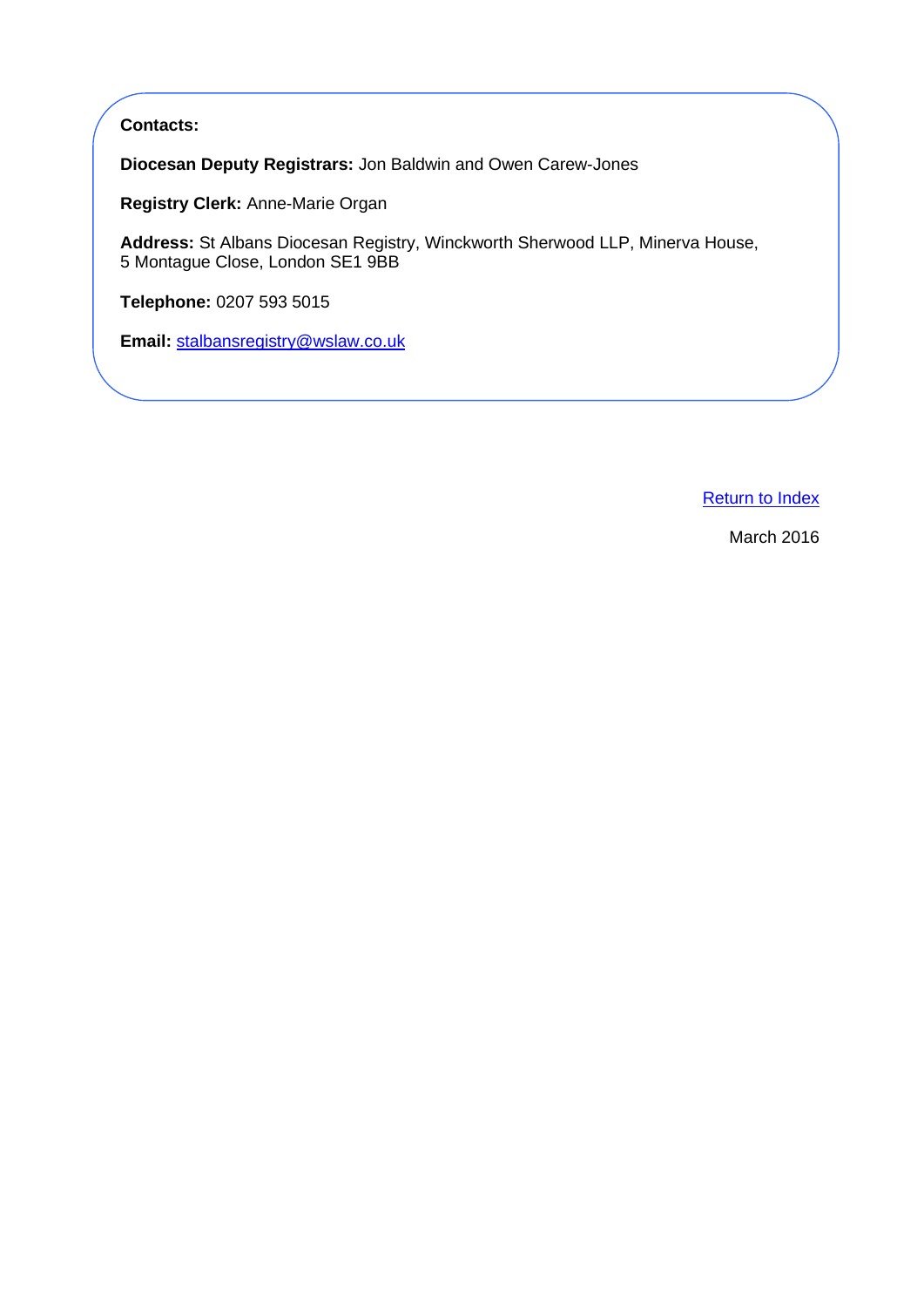# **Contacts:**

**Diocesan Deputy Registrars:** Jon Baldwin and Owen Carew-Jones

**Registry Clerk:** Anne-Marie Organ

**Address:** St Albans Diocesan Registry, Winckworth Sherwood LLP, Minerva House, 5 Montague Close, London SE1 9BB

**Telephone:** 0207 593 5015

**Email:** [stalbansregistry@wslaw.co.uk](mailto:stalbansregistry@wslaw.co.uk)

[Return to Index](#page-0-0)

March 2016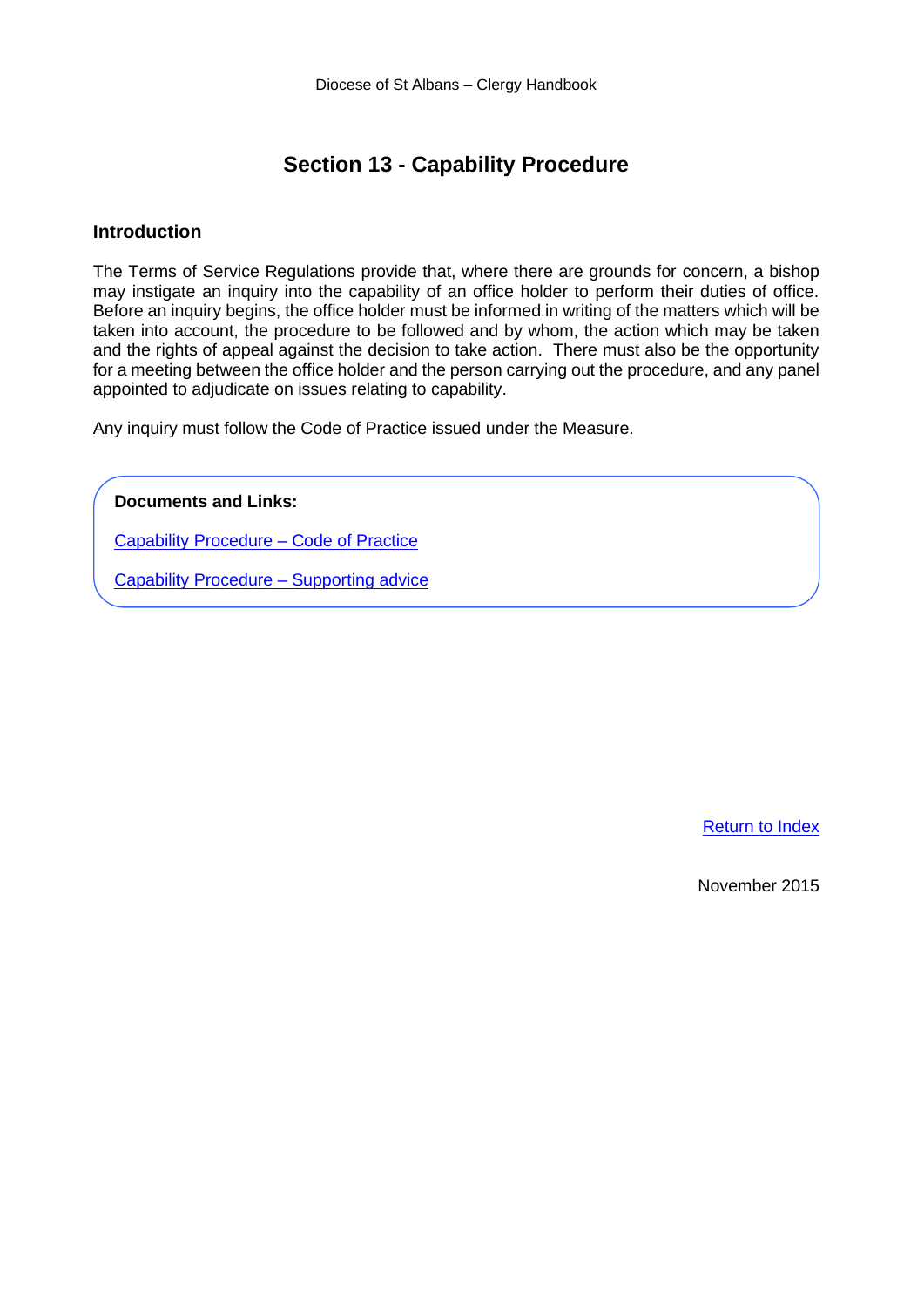# **Section 13 - Capability Procedure**

#### <span id="page-28-0"></span>**Introduction**

The Terms of Service Regulations provide that, where there are grounds for concern, a bishop may instigate an inquiry into the capability of an office holder to perform their duties of office. Before an inquiry begins, the office holder must be informed in writing of the matters which will be taken into account, the procedure to be followed and by whom, the action which may be taken and the rights of appeal against the decision to take action. There must also be the opportunity for a meeting between the office holder and the person carrying out the procedure, and any panel appointed to adjudicate on issues relating to capability.

Any inquiry must follow the Code of Practice issued under the Measure.

**Documents and Links:**

[Capability Procedure –](https://www.churchofengland.org/sites/default/files/2017-10/Capability%20Code%20of%20Practice.pdf) Code of Practice

[Capability Procedure –](https://www.churchofengland.org/sites/default/files/2017-11/Capability%20Procedure%20Code%20of%20Practice%20Supporting%20Advice.pdf) Supporting advice

[Return to Index](#page-0-0)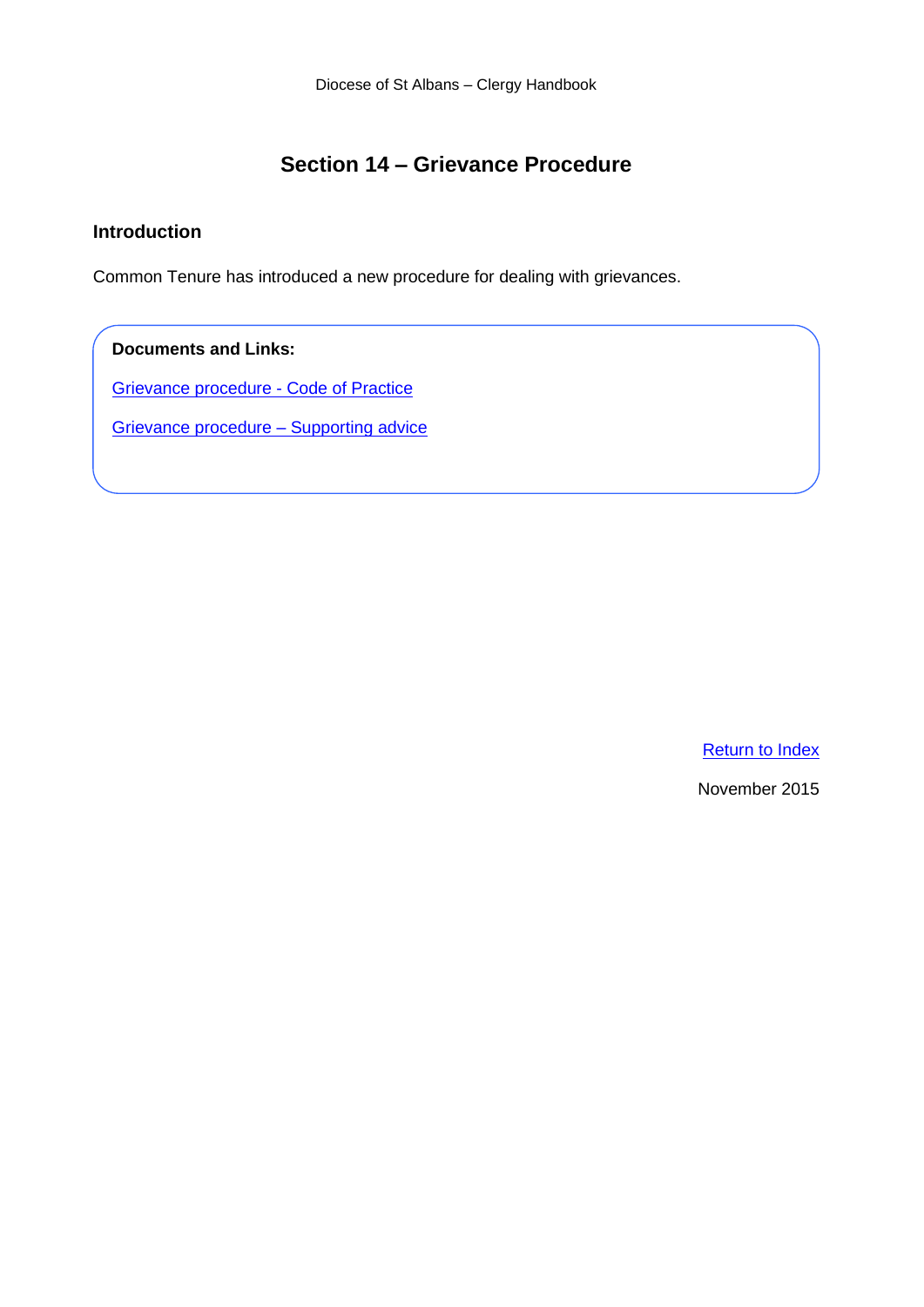# **Section 14 – Grievance Procedure**

# <span id="page-29-0"></span>**Introduction**

Common Tenure has introduced a new procedure for dealing with grievances.

# **Documents and Links:**

[Grievance procedure -](https://www.churchofengland.org/sites/default/files/2017-10/grievanceprocedure%20cop.pdf) Code of Practice

[Grievance procedure –](https://www.churchofengland.org/sites/default/files/2017-10/grievanceprocadvice%20SA.pdf) Supporting advice

[Return to Index](#page-0-0)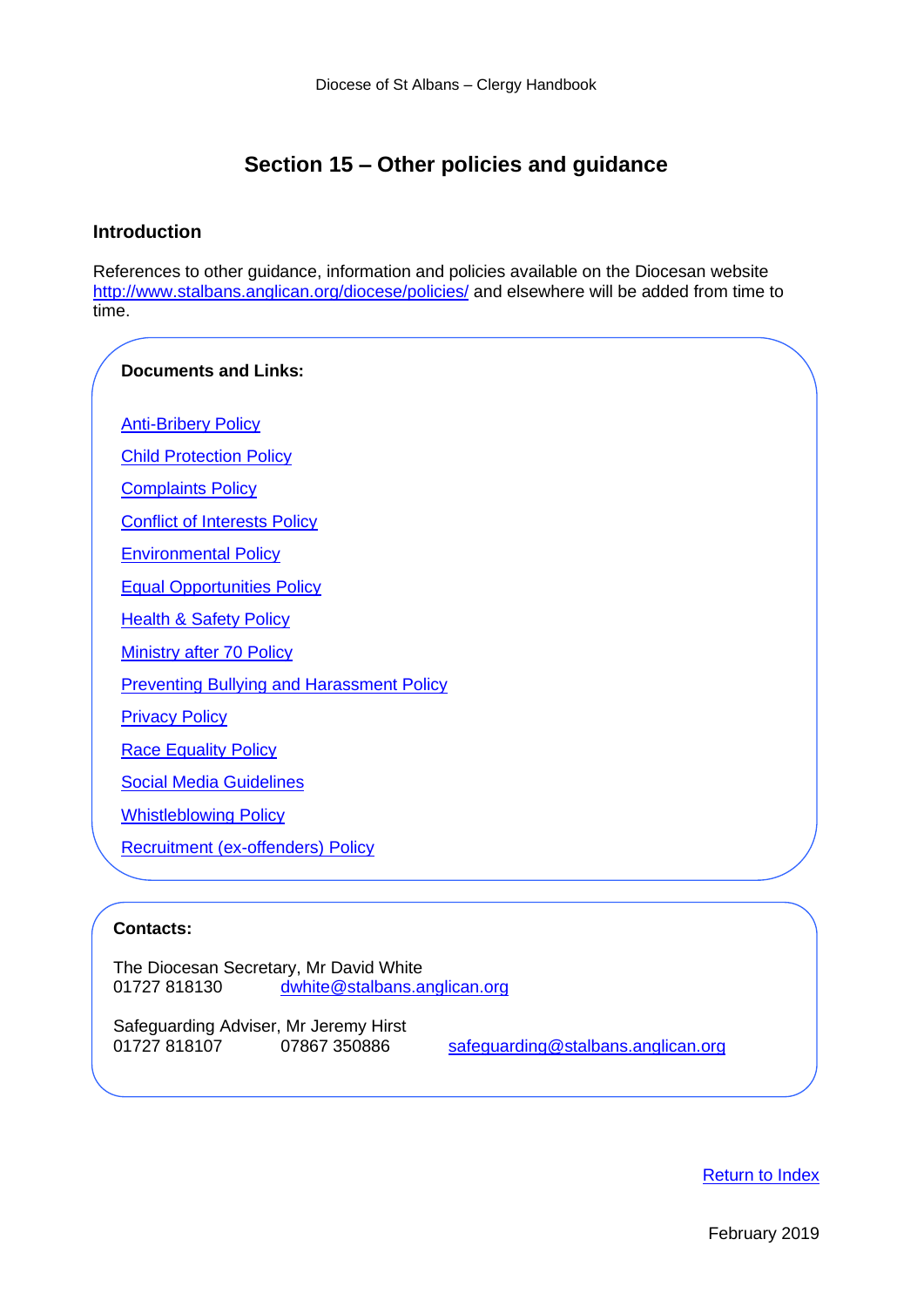# **Section 15 – Other policies and guidance**

### <span id="page-30-0"></span>**Introduction**

References to other guidance, information and policies available on the Diocesan website [http://www.stalbans.anglican.org/diocese/policies/](https://www.stalbans.anglican.org/diocese/policies/) and elsewhere will be added from time to time.

# **Documents and Links:**

**[Anti-Bribery Policy](https://www.stalbans.anglican.org/diocese/anti-bribery-policy)** 

[Child Protection Policy](https://www.stalbans.anglican.org/diocese/child-protection-policy/)

[Complaints Policy](https://www.stalbans.anglican.org/wp-content/uploads/Complaints-Policy.pdf)

[Conflict of Interests Policy](https://www.stalbans.anglican.org/diocese/conflict-of-interests-policy/)

[Environmental Policy](https://www.stalbans.anglican.org/diocese/environmental-policy/)

[Equal Opportunities Policy](https://www.stalbans.anglican.org/diocese/equal-opportunities-policy/)

[Health & Safety Policy](https://www.stalbans.anglican.org/diocese/health-safety-policy/)

[Ministry after 70 Policy](https://www.stalbans.anglican.org/wp-content/uploads/Ministry-after-70-Policy-May-2018.pdf)

[Preventing Bullying and Harassment Policy](https://www.stalbans.anglican.org/diocese/preventing-bullying-and-harassment-policy/)

[Privacy Policy](https://www.stalbans.anglican.org/diocese/privacy-policy/)

[Race Equality Policy](https://www.stalbans.anglican.org/diocese/race-equality-policy/)

[Social Media Guidelines](https://www.stalbans.anglican.org/wp-content/uploads/Social-Media-Guidelines.pdf)

[Whistleblowing Policy](https://www.stalbans.anglican.org/wp-content/uploads/Whistleblowing-Policy.pdf)

[Recruitment \(ex-offenders\) Policy](https://www.stalbans.anglican.org/wp-content/uploads/Recruitment-ex-offenders-Policy.pdf)

#### **Contacts:**

The Diocesan Secretary, Mr David White<br>01727 818130 dwhite@stalbans.a [dwhite@stalbans.anglican.org](mailto:dwhite@stalbans.anglican.org)

Safeguarding Adviser, Mr Jeremy Hirst 01727 818107 07867 350886 [safeguarding@stalbans.anglican.org](mailto:safeguarding@stalbans.anglican.org)

[Return to Index](#page-0-0)

February 2019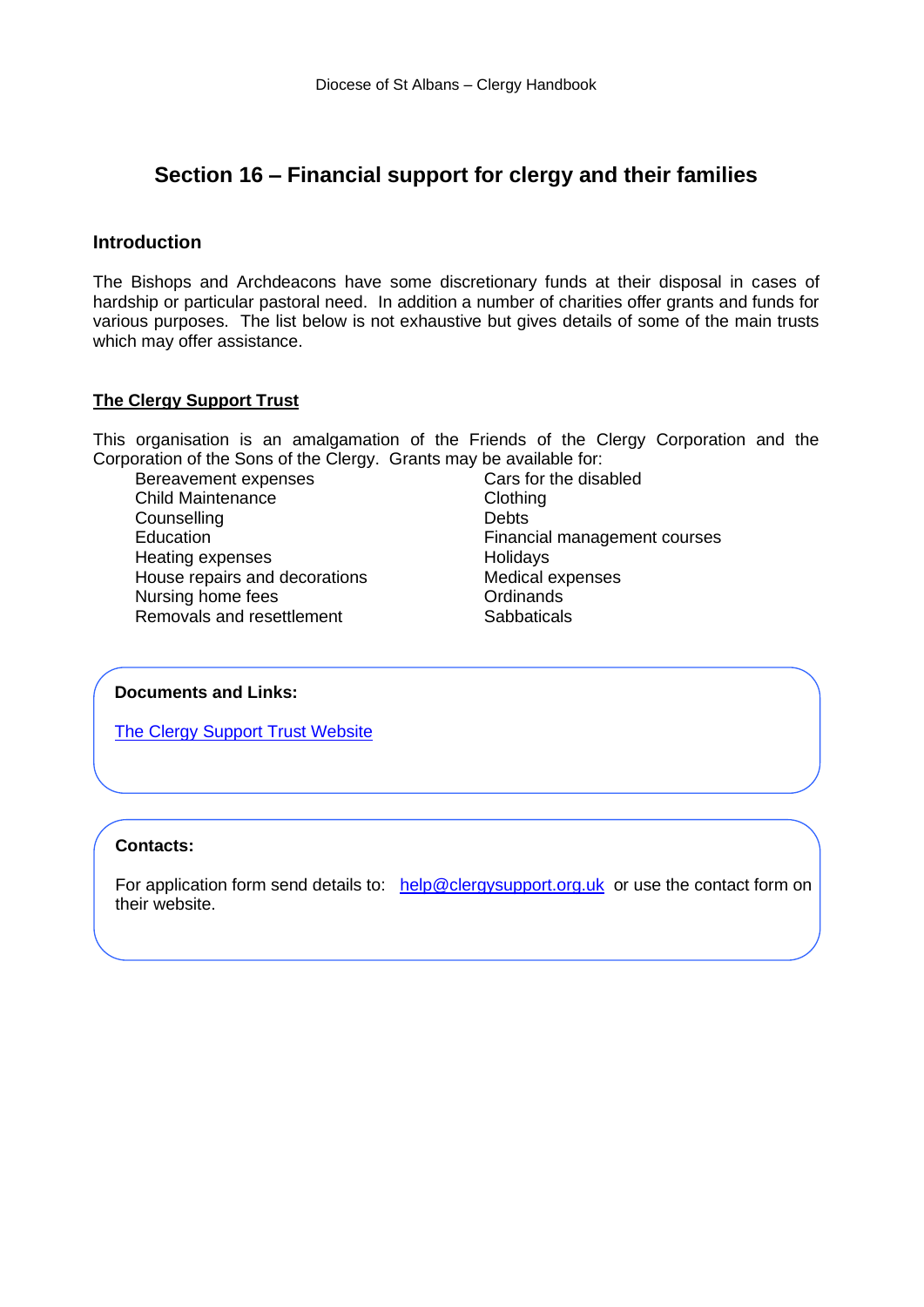# <span id="page-31-0"></span>**Section 16 – Financial support for clergy and their families**

# **Introduction**

The Bishops and Archdeacons have some discretionary funds at their disposal in cases of hardship or particular pastoral need. In addition a number of charities offer grants and funds for various purposes. The list below is not exhaustive but gives details of some of the main trusts which may offer assistance.

# **The Clergy Support Trust**

This organisation is an amalgamation of the Friends of the Clergy Corporation and the Corporation of the Sons of the Clergy. Grants may be available for:

Bereavement expenses<br>
Cars for the disabled<br>
Clothing<br>
Clothing Child Maintenance Counselling Counsel Counsel in the Debts<br>
Education Counsel Counsel Counsel Counsel Counsel Counsel Counsel Counsel Counsel Counsel Counsel Counsel Coun<br>
Debts Heating expenses **Holidays** House repairs and decorations **Medical expenses** Nursing home fees **Ordinands** Removals and resettlement Sabbaticals

Financial management courses

# **Documents and Links:**

[The Clergy Support Trust](https://www.clergysupport.org.uk/) Website

**The Society for the Relief of Poor Clergy**

# **Contacts:**

For application form send details to: [help@clergysupport.org.uk](mailto:help@clergysupport.org.uk) or use the contact form on their website.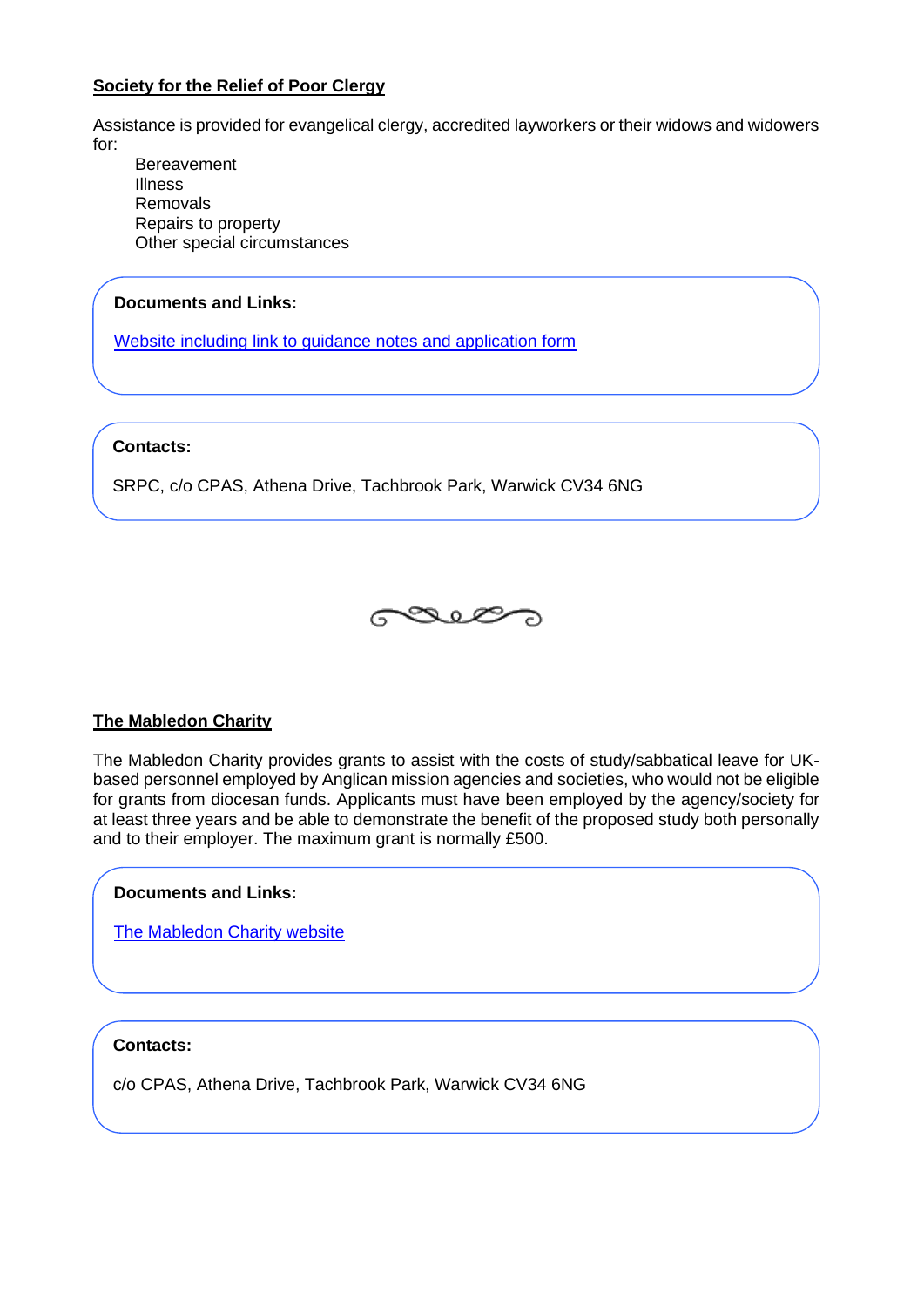# **Society for the Relief of Poor Clergy**

Assistance is provided for evangelical clergy, accredited layworkers or their widows and widowers for:

**Bereavement** Illness Removals Repairs to property Other special circumstances

# **Documents and Links:**

[Website including link to guidance notes and application form](https://www.srpc-aid.com/) 

#### **Contacts:**

SRPC, c/o CPAS, Athena Drive, Tachbrook Park, Warwick CV34 6NG



# **The Mabledon Charity**

The Mabledon Charity provides grants to assist with the costs of study/sabbatical leave for UKbased personnel employed by Anglican mission agencies and societies, who would not be eligible for grants from diocesan funds. Applicants must have been employed by the agency/society for at least three years and be able to demonstrate the benefit of the proposed study both personally and to their employer. The maximum grant is normally £500.

# **Documents and Links:**

[The Mabledon Charity website](mailto:mail@cpas.org.uk)

# **Contacts:**

c/o CPAS, Athena Drive, Tachbrook Park, Warwick CV34 6NG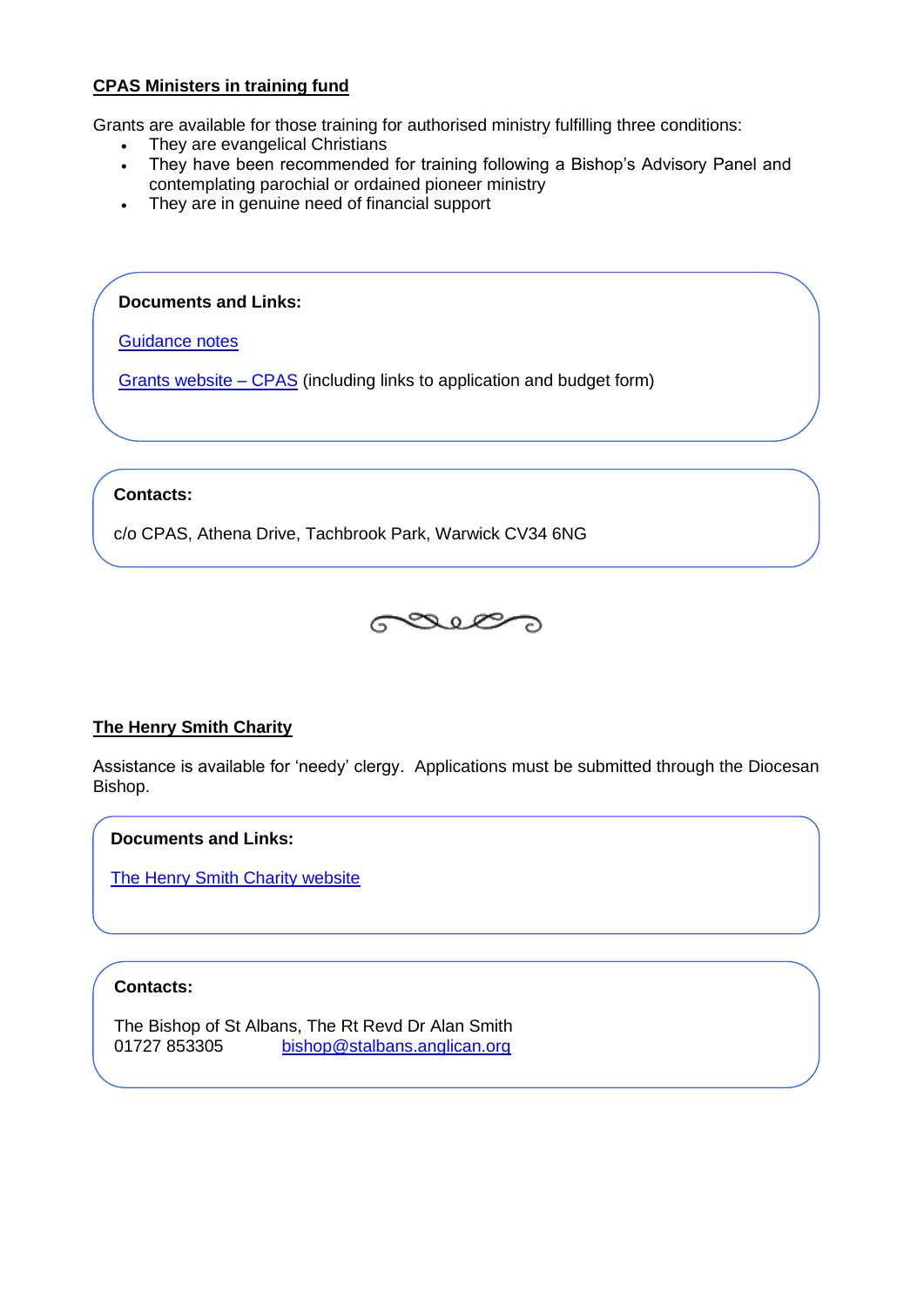# **CPAS Ministers in training fund**

Grants are available for those training for authorised ministry fulfilling three conditions:

- They are evangelical Christians<br>• They have been recommended
- They have been recommended for training following a Bishop's Advisory Panel and contemplating parochial or ordained pioneer ministry
- They are in genuine need of financial support

**Documents and Links:**

[Guidance notes](https://www.cpas.org.uk/download/1228/web_upload%2525MIT+information+2012-1337162448.pdf)

[Grants website –](https://www.cpas.org.uk/advice-and-support/other-advice-and-support#.XG_L8KL7SUm) CPAS (including links to application and budget form)

# **Contacts:**

c/o CPAS, Athena Drive, Tachbrook Park, Warwick CV34 6NG



# **The Henry Smith Charity**

Assistance is available for 'needy' clergy. Applications must be submitted through the Diocesan Bishop.

**Documents and Links:**

[The Henry Smith Charity website](https://www.henrysmithcharity.org.uk/)

# **Contacts:**

The Bishop of St Albans, The Rt Revd Dr Alan Smith 01727 853305 [bishop@stalbans.anglican.org](mailto:bishop@stalbans.anglican.org)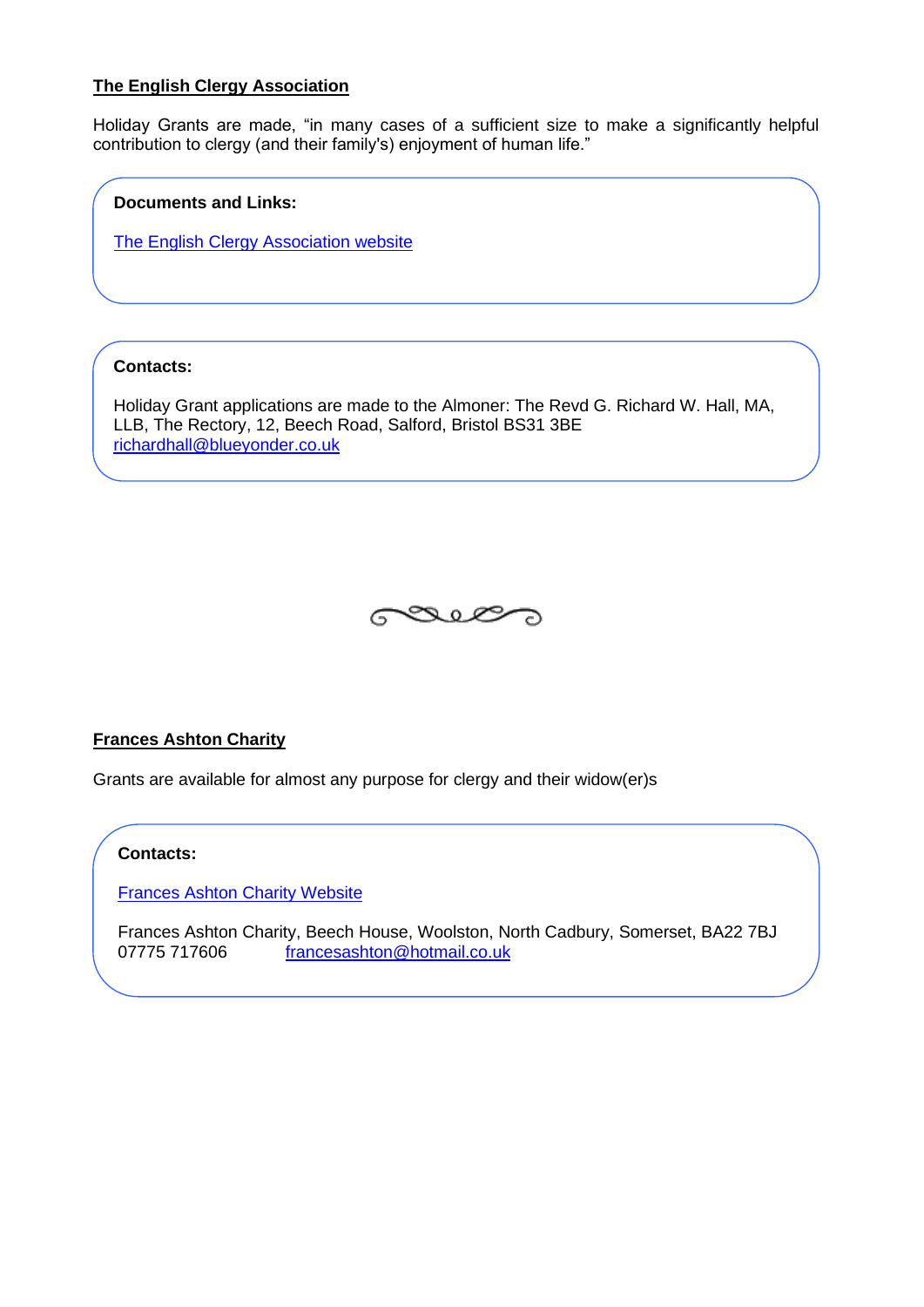# **The English Clergy Association**

Holiday Grants are made, "in many cases of a sufficient size to make a significantly helpful contribution to clergy (and their family's) enjoyment of human life."

### **Documents and Links:**

[The English Clergy Association website](http://www.clergyassoc.co.uk/content/HolidayGrants.htm)

# **Contacts:**

Holiday Grant applications are made to the Almoner: The Revd G. Richard W. Hall, MA, LLB, The Rectory, 12, Beech Road, Salford, Bristol BS31 3BE [richardhall@blueyonder.co.uk](mailto:richardhall@blueyonder.co.uk)



# **Frances Ashton Charity**

Grants are available for almost any purpose for clergy and their widow(er)s

#### **Contacts:**

[Frances Ashton Charity Website](http://www.francesashton.co.uk/index.html)

Frances Ashton Charity, Beech House, Woolston, North Cadbury, Somerset, BA22 7BJ 07775 717606 [francesashton@hotmail.co.uk](mailto:francesashton@hotmail.co.uk)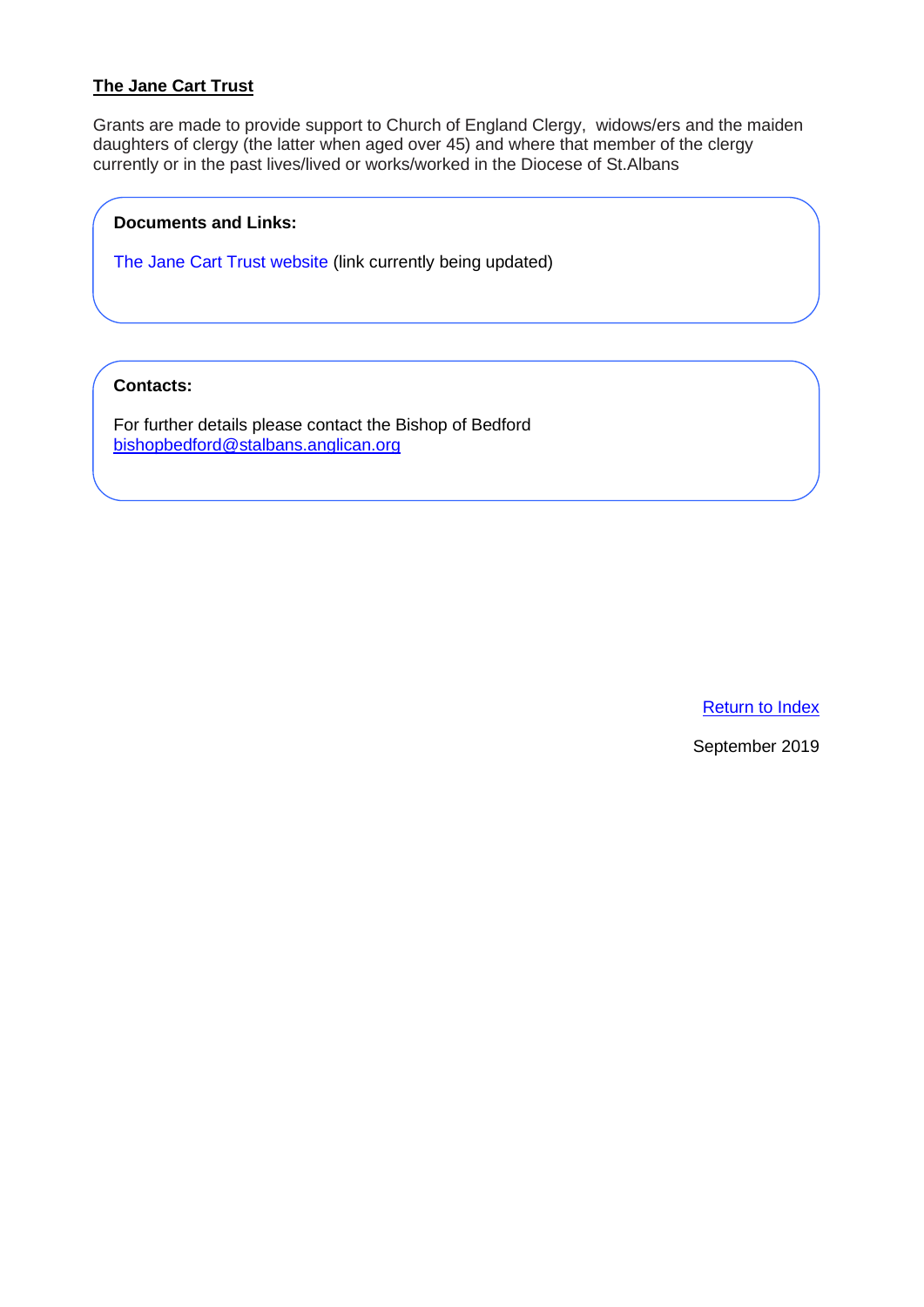# **The Jane Cart Trust**

Grants are made to provide support to Church of England Clergy, widows/ers and the maiden daughters of clergy (the latter when aged over 45) and where that member of the clergy currently or in the past lives/lived or works/worked in the Diocese of St.Albans

### **Documents and Links:**

The Jane Cart Trust website (link currently being updated)

# **Contacts:**

For further details please contact the Bishop of Bedford [bishopbedford@stalbans.anglican.org](mailto:bishopbedford@stalbans.anglican.org?subject=The%20Jane%20Cart%20Trust)

[Return to Index](#page-0-0)

September 2019